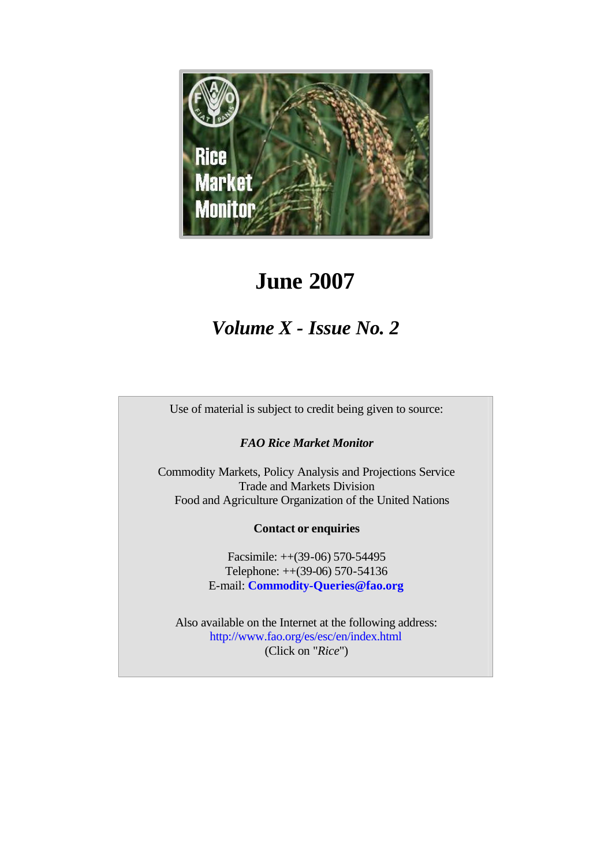

# **June 2007**

# *Volume X - Issue No. 2*

Use of material is subject to credit being given to source:

*FAO Rice Market Monitor*

Commodity Markets, Policy Analysis and Projections Service Trade and Markets Division Food and Agriculture Organization of the United Nations

# **Contact or enquiries**

Facsimile: ++(39-06) 570-54495 Telephone: ++(39-06) 570-54136 E-mail: **Commodity-Queries@fao.org**

Also available on the Internet at the following address: http://www.fao.org/es/esc/en/index.html (Click on "*Rice*")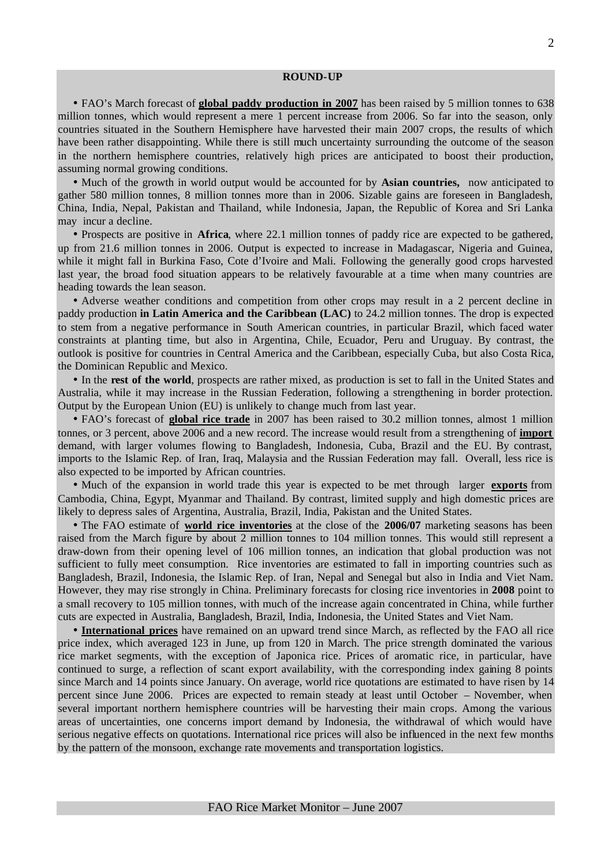#### **ROUND-UP**

• FAO's March forecast of **global paddy production in 2007** has been raised by 5 million tonnes to 638 million tonnes, which would represent a mere 1 percent increase from 2006. So far into the season, only countries situated in the Southern Hemisphere have harvested their main 2007 crops, the results of which have been rather disappointing. While there is still much uncertainty surrounding the outcome of the season in the northern hemisphere countries, relatively high prices are anticipated to boost their production, assuming normal growing conditions.

• Much of the growth in world output would be accounted for by **Asian countries,** now anticipated to gather 580 million tonnes, 8 million tonnes more than in 2006. Sizable gains are foreseen in Bangladesh, China, India, Nepal, Pakistan and Thailand, while Indonesia, Japan, the Republic of Korea and Sri Lanka may incur a decline.

• Prospects are positive in **Africa**, where 22.1 million tonnes of paddy rice are expected to be gathered, up from 21.6 million tonnes in 2006. Output is expected to increase in Madagascar, Nigeria and Guinea, while it might fall in Burkina Faso, Cote d'Ivoire and Mali. Following the generally good crops harvested last year, the broad food situation appears to be relatively favourable at a time when many countries are heading towards the lean season.

• Adverse weather conditions and competition from other crops may result in a 2 percent decline in paddy production **in Latin America and the Caribbean (LAC)** to 24.2 million tonnes. The drop is expected to stem from a negative performance in South American countries, in particular Brazil, which faced water constraints at planting time, but also in Argentina, Chile, Ecuador, Peru and Uruguay. By contrast, the outlook is positive for countries in Central America and the Caribbean, especially Cuba, but also Costa Rica, the Dominican Republic and Mexico.

• In the **rest of the world**, prospects are rather mixed, as production is set to fall in the United States and Australia, while it may increase in the Russian Federation, following a strengthening in border protection. Output by the European Union (EU) is unlikely to change much from last year.

• FAO's forecast of **global rice trade** in 2007 has been raised to 30.2 million tonnes, almost 1 million tonnes, or 3 percent, above 2006 and a new record. The increase would result from a strengthening of **import** demand, with larger volumes flowing to Bangladesh, Indonesia, Cuba, Brazil and the EU. By contrast, imports to the Islamic Rep. of Iran, Iraq, Malaysia and the Russian Federation may fall. Overall, less rice is also expected to be imported by African countries.

• Much of the expansion in world trade this year is expected to be met through larger **exports** from Cambodia, China, Egypt, Myanmar and Thailand. By contrast, limited supply and high domestic prices are likely to depress sales of Argentina, Australia, Brazil, India, Pakistan and the United States.

• The FAO estimate of **world rice inventories** at the close of the **2006/07** marketing seasons has been raised from the March figure by about 2 million tonnes to 104 million tonnes. This would still represent a draw-down from their opening level of 106 million tonnes, an indication that global production was not sufficient to fully meet consumption. Rice inventories are estimated to fall in importing countries such as Bangladesh, Brazil, Indonesia, the Islamic Rep. of Iran, Nepal and Senegal but also in India and Viet Nam. However, they may rise strongly in China. Preliminary forecasts for closing rice inventories in **2008** point to a small recovery to 105 million tonnes, with much of the increase again concentrated in China, while further cuts are expected in Australia, Bangladesh, Brazil, India, Indonesia, the United States and Viet Nam.

• **International prices** have remained on an upward trend since March, as reflected by the FAO all rice price index, which averaged 123 in June, up from 120 in March. The price strength dominated the various rice market segments, with the exception of Japonica rice. Prices of aromatic rice, in particular, have continued to surge, a reflection of scant export availability, with the corresponding index gaining 8 points since March and 14 points since January. On average, world rice quotations are estimated to have risen by 14 percent since June 2006. Prices are expected to remain steady at least until October – November, when several important northern hemisphere countries will be harvesting their main crops. Among the various areas of uncertainties, one concerns import demand by Indonesia, the withdrawal of which would have serious negative effects on quotations. International rice prices will also be influenced in the next few months by the pattern of the monsoon, exchange rate movements and transportation logistics.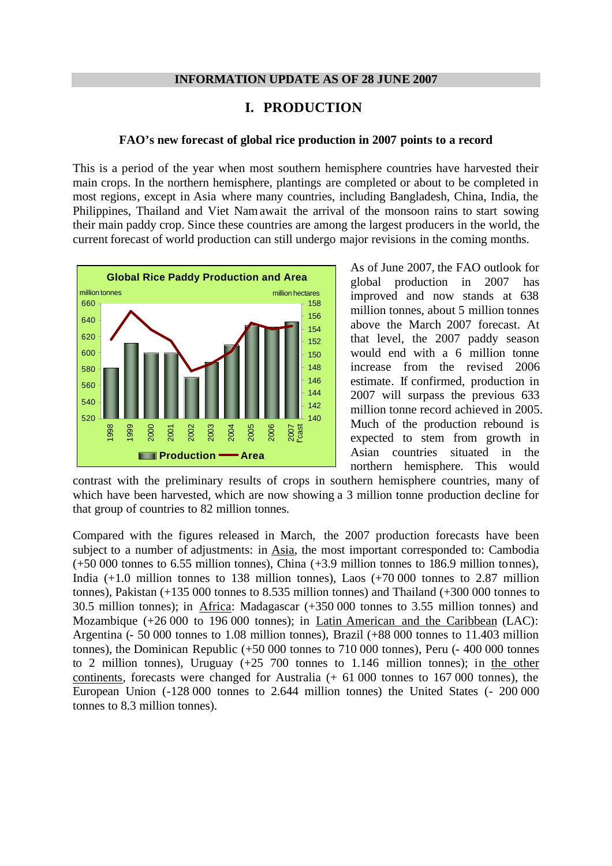#### **INFORMATION UPDATE AS OF 28 JUNE 2007**

# **I. PRODUCTION**

#### **FAO's new forecast of global rice production in 2007 points to a record**

This is a period of the year when most southern hemisphere countries have harvested their main crops. In the northern hemisphere, plantings are completed or about to be completed in most regions, except in Asia where many countries, including Bangladesh, China, India, the Philippines, Thailand and Viet Nam await the arrival of the monsoon rains to start sowing their main paddy crop. Since these countries are among the largest producers in the world, the current forecast of world production can still undergo major revisions in the coming months.



As of June 2007, the FAO outlook for global production in 2007 has improved and now stands at 638 million tonnes, about 5 million tonnes above the March 2007 forecast. At that level, the 2007 paddy season would end with a 6 million tonne increase from the revised 2006 estimate. If confirmed, production in 2007 will surpass the previous 633 million tonne record achieved in 2005. Much of the production rebound is expected to stem from growth in Asian countries situated in the northern hemisphere. This would

contrast with the preliminary results of crops in southern hemisphere countries, many of which have been harvested, which are now showing a 3 million tonne production decline for that group of countries to 82 million tonnes.

Compared with the figures released in March, the 2007 production forecasts have been subject to a number of adjustments: in Asia, the most important corresponded to: Cambodia (+50 000 tonnes to 6.55 million tonnes), China (+3.9 million tonnes to 186.9 million tonnes), India  $(+1.0$  million tonnes to 138 million tonnes), Laos  $(+70\,000)$  tonnes to 2.87 million tonnes), Pakistan (+135 000 tonnes to 8.535 million tonnes) and Thailand (+300 000 tonnes to 30.5 million tonnes); in Africa: Madagascar (+350 000 tonnes to 3.55 million tonnes) and Mozambique (+26 000 to 196 000 tonnes); in Latin American and the Caribbean (LAC): Argentina (- 50 000 tonnes to 1.08 million tonnes), Brazil (+88 000 tonnes to 11.403 million tonnes), the Dominican Republic (+50 000 tonnes to 710 000 tonnes), Peru (- 400 000 tonnes to 2 million tonnes), Uruguay (+25 700 tonnes to 1.146 million tonnes); in the other continents, forecasts were changed for Australia (+ 61 000 tonnes to 167 000 tonnes), the European Union (-128 000 tonnes to 2.644 million tonnes) the United States (- 200 000 tonnes to 8.3 million tonnes).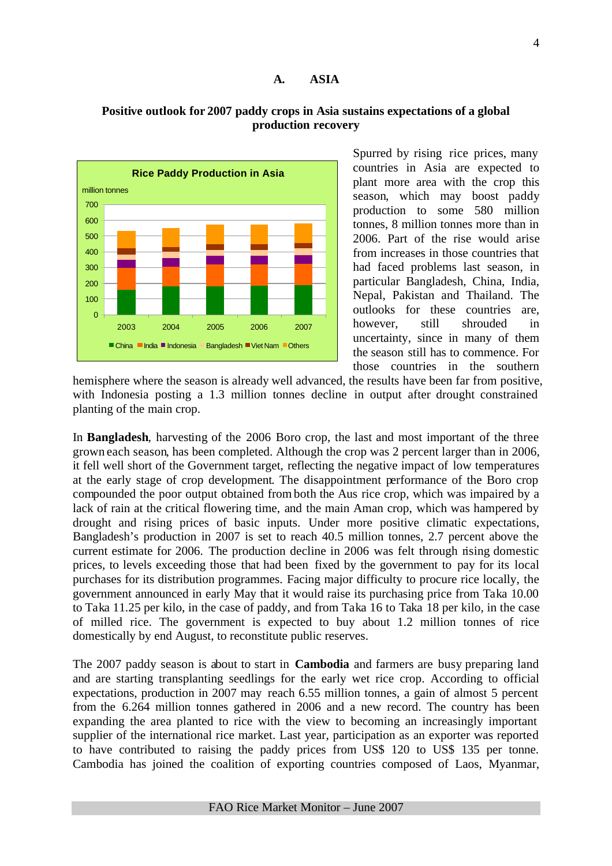#### **A. ASIA**

# **Positive outlook for 2007 paddy crops in Asia sustains expectations of a global production recovery**



Spurred by rising rice prices, many countries in Asia are expected to plant more area with the crop this season, which may boost paddy production to some 580 million tonnes, 8 million tonnes more than in 2006. Part of the rise would arise from increases in those countries that had faced problems last season, in particular Bangladesh, China, India, Nepal, Pakistan and Thailand. The outlooks for these countries are, however, still shrouded in uncertainty, since in many of them the season still has to commence. For those countries in the southern

hemisphere where the season is already well advanced, the results have been far from positive, with Indonesia posting a 1.3 million tonnes decline in output after drought constrained planting of the main crop.

In **Bangladesh**, harvesting of the 2006 Boro crop, the last and most important of the three grown each season, has been completed. Although the crop was 2 percent larger than in 2006, it fell well short of the Government target, reflecting the negative impact of low temperatures at the early stage of crop development. The disappointment performance of the Boro crop compounded the poor output obtained fromboth the Aus rice crop, which was impaired by a lack of rain at the critical flowering time, and the main Aman crop, which was hampered by drought and rising prices of basic inputs. Under more positive climatic expectations, Bangladesh's production in 2007 is set to reach 40.5 million tonnes, 2.7 percent above the current estimate for 2006. The production decline in 2006 was felt through rising domestic prices, to levels exceeding those that had been fixed by the government to pay for its local purchases for its distribution programmes. Facing major difficulty to procure rice locally, the government announced in early May that it would raise its purchasing price from Taka 10.00 to Taka 11.25 per kilo, in the case of paddy, and from Taka 16 to Taka 18 per kilo, in the case of milled rice. The government is expected to buy about 1.2 million tonnes of rice domestically by end August, to reconstitute public reserves.

The 2007 paddy season is about to start in **Cambodia** and farmers are busy preparing land and are starting transplanting seedlings for the early wet rice crop. According to official expectations, production in 2007 may reach 6.55 million tonnes, a gain of almost 5 percent from the 6.264 million tonnes gathered in 2006 and a new record. The country has been expanding the area planted to rice with the view to becoming an increasingly important supplier of the international rice market. Last year, participation as an exporter was reported to have contributed to raising the paddy prices from US\$ 120 to US\$ 135 per tonne. Cambodia has joined the coalition of exporting countries composed of Laos, Myanmar,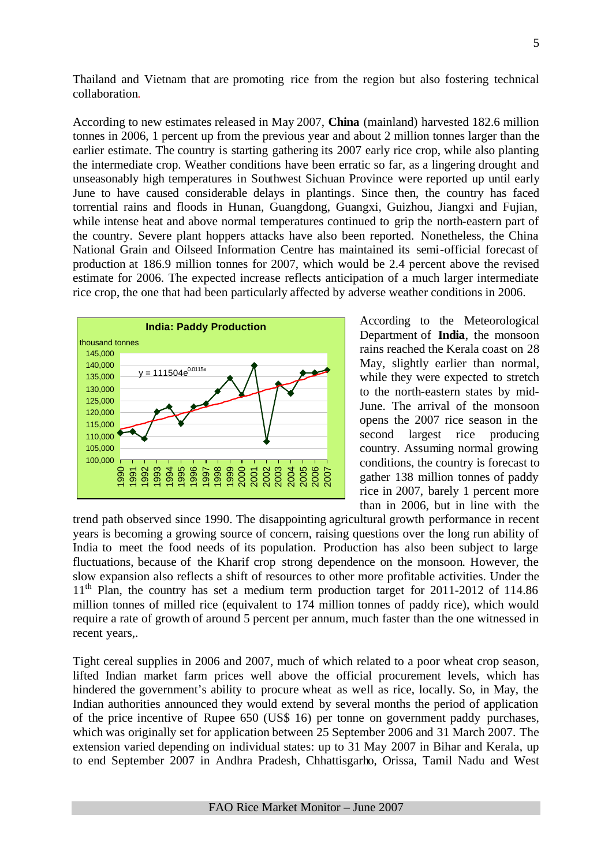Thailand and Vietnam that are promoting rice from the region but also fostering technical collaboration.

According to new estimates released in May 2007, **China** (mainland) harvested 182.6 million tonnes in 2006, 1 percent up from the previous year and about 2 million tonnes larger than the earlier estimate. The country is starting gathering its 2007 early rice crop, while also planting the intermediate crop. Weather conditions have been erratic so far, as a lingering drought and unseasonably high temperatures in Southwest Sichuan Province were reported up until early June to have caused considerable delays in plantings. Since then, the country has faced torrential rains and floods in Hunan, Guangdong, Guangxi, Guizhou, Jiangxi and Fujian, while intense heat and above normal temperatures continued to grip the north-eastern part of the country. Severe plant hoppers attacks have also been reported. Nonetheless, the China National Grain and Oilseed Information Centre has maintained its semi-official forecast of production at 186.9 million tonnes for 2007, which would be 2.4 percent above the revised estimate for 2006. The expected increase reflects anticipation of a much larger intermediate rice crop, the one that had been particularly affected by adverse weather conditions in 2006.



According to the Meteorological Department of **India**, the monsoon rains reached the Kerala coast on 28 May, slightly earlier than normal, while they were expected to stretch to the north-eastern states by mid-June. The arrival of the monsoon opens the 2007 rice season in the second largest rice producing country. Assuming normal growing conditions, the country is forecast to gather 138 million tonnes of paddy rice in 2007, barely 1 percent more than in 2006, but in line with the

trend path observed since 1990. The disappointing agricultural growth performance in recent years is becoming a growing source of concern, raising questions over the long run ability of India to meet the food needs of its population. Production has also been subject to large fluctuations, because of the Kharif crop strong dependence on the monsoon. However, the slow expansion also reflects a shift of resources to other more profitable activities. Under the  $11<sup>th</sup>$  Plan, the country has set a medium term production target for 2011-2012 of 114.86 million tonnes of milled rice (equivalent to 174 million tonnes of paddy rice), which would require a rate of growth of around 5 percent per annum, much faster than the one witnessed in recent years,.

Tight cereal supplies in 2006 and 2007, much of which related to a poor wheat crop season, lifted Indian market farm prices well above the official procurement levels, which has hindered the government's ability to procure wheat as well as rice, locally. So, in May, the Indian authorities announced they would extend by several months the period of application of the price incentive of Rupee 650 (US\$ 16) per tonne on government paddy purchases, which was originally set for application between 25 September 2006 and 31 March 2007. The extension varied depending on individual states: up to 31 May 2007 in Bihar and Kerala, up to end September 2007 in Andhra Pradesh, Chhattisgarho, Orissa, Tamil Nadu and West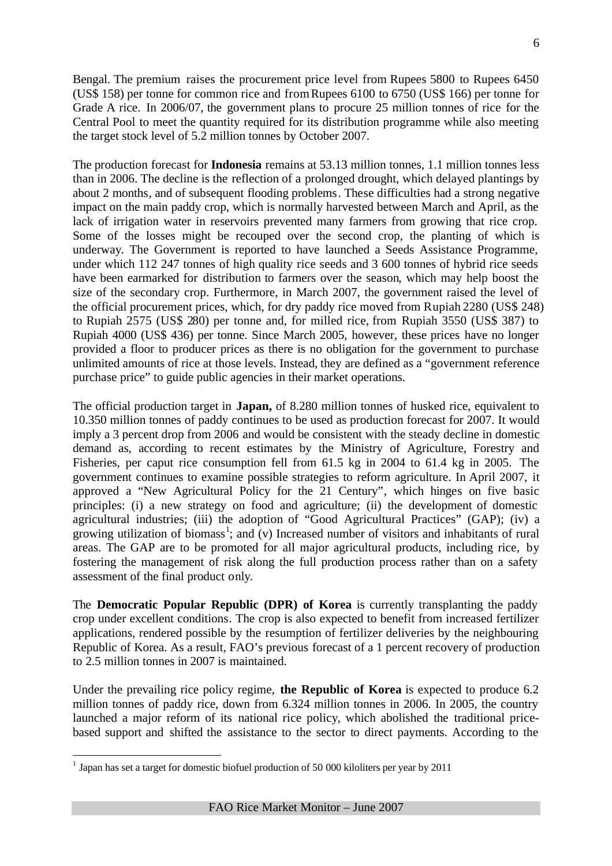Bengal. The premium raises the procurement price level from Rupees 5800 to Rupees 6450 (US\$ 158) per tonne for common rice and fromRupees 6100 to 6750 (US\$ 166) per tonne for Grade A rice. In 2006/07, the government plans to procure 25 million tonnes of rice for the Central Pool to meet the quantity required for its distribution programme while also meeting the target stock level of 5.2 million tonnes by October 2007.

The production forecast for **Indonesia** remains at 53.13 million tonnes, 1.1 million tonnes less than in 2006. The decline is the reflection of a prolonged drought, which delayed plantings by about 2 months, and of subsequent flooding problems. These difficulties had a strong negative impact on the main paddy crop, which is normally harvested between March and April, as the lack of irrigation water in reservoirs prevented many farmers from growing that rice crop. Some of the losses might be recouped over the second crop, the planting of which is underway. The Government is reported to have launched a Seeds Assistance Programme, under which 112 247 tonnes of high quality rice seeds and 3 600 tonnes of hybrid rice seeds have been earmarked for distribution to farmers over the season, which may help boost the size of the secondary crop. Furthermore, in March 2007, the government raised the level of the official procurement prices, which, for dry paddy rice moved from Rupiah 2280 (US\$ 248) to Rupiah 2575 (US\$ 280) per tonne and, for milled rice, from Rupiah 3550 (US\$ 387) to Rupiah 4000 (US\$ 436) per tonne. Since March 2005, however, these prices have no longer provided a floor to producer prices as there is no obligation for the government to purchase unlimited amounts of rice at those levels. Instead, they are defined as a "government reference purchase price" to guide public agencies in their market operations.

The official production target in **Japan,** of 8.280 million tonnes of husked rice, equivalent to 10.350 million tonnes of paddy continues to be used as production forecast for 2007. It would imply a 3 percent drop from 2006 and would be consistent with the steady decline in domestic demand as, according to recent estimates by the Ministry of Agriculture, Forestry and Fisheries, per caput rice consumption fell from 61.5 kg in 2004 to 61.4 kg in 2005. The government continues to examine possible strategies to reform agriculture. In April 2007, it approved a "New Agricultural Policy for the 21 Century", which hinges on five basic principles: (i) a new strategy on food and agriculture; (ii) the development of domestic agricultural industries; (iii) the adoption of "Good Agricultural Practices" (GAP); (iv) a growing utilization of biomass<sup>1</sup>; and (v) Increased number of visitors and inhabitants of rural areas. The GAP are to be promoted for all major agricultural products, including rice, by fostering the management of risk along the full production process rather than on a safety assessment of the final product only.

The **Democratic Popular Republic (DPR) of Korea** is currently transplanting the paddy crop under excellent conditions. The crop is also expected to benefit from increased fertilizer applications, rendered possible by the resumption of fertilizer deliveries by the neighbouring Republic of Korea. As a result, FAO's previous forecast of a 1 percent recovery of production to 2.5 million tonnes in 2007 is maintained.

Under the prevailing rice policy regime, **the Republic of Korea** is expected to produce 6.2 million tonnes of paddy rice, down from 6.324 million tonnes in 2006. In 2005, the country launched a major reform of its national rice policy, which abolished the traditional pricebased support and shifted the assistance to the sector to direct payments. According to the

 1 Japan has set a target for domestic biofuel production of 50 000 kiloliters per year by 2011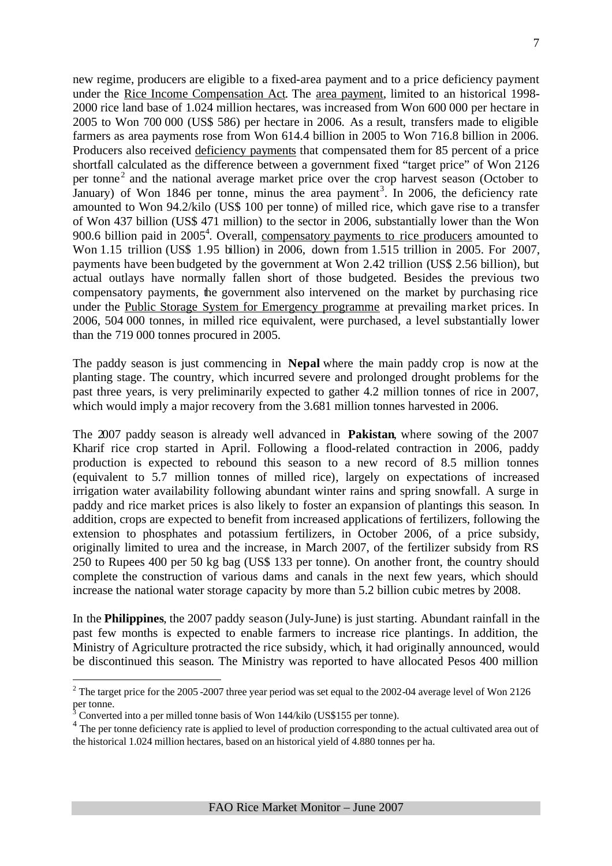new regime, producers are eligible to a fixed-area payment and to a price deficiency payment under the Rice Income Compensation Act. The area payment, limited to an historical 1998- 2000 rice land base of 1.024 million hectares, was increased from Won 600 000 per hectare in 2005 to Won 700 000 (US\$ 586) per hectare in 2006. As a result, transfers made to eligible farmers as area payments rose from Won 614.4 billion in 2005 to Won 716.8 billion in 2006. Producers also received deficiency payments that compensated them for 85 percent of a price shortfall calculated as the difference between a government fixed "target price" of Won 2126 per tonne<sup>2</sup> and the national average market price over the crop harvest season (October to January) of Won 1846 per tonne, minus the area payment<sup>3</sup>. In 2006, the deficiency rate amounted to Won 94.2/kilo (US\$ 100 per tonne) of milled rice, which gave rise to a transfer of Won 437 billion (US\$ 471 million) to the sector in 2006, substantially lower than the Won 900.6 billion paid in 2005<sup>4</sup>. Overall, compensatory payments to rice producers amounted to Won 1.15 trillion (US\$ 1.95 billion) in 2006, down from 1.515 trillion in 2005. For 2007, payments have been budgeted by the government at Won 2.42 trillion (US\$ 2.56 billion), but actual outlays have normally fallen short of those budgeted. Besides the previous two compensatory payments, the government also intervened on the market by purchasing rice under the Public Storage System for Emergency programme at prevailing market prices. In 2006, 504 000 tonnes, in milled rice equivalent, were purchased, a level substantially lower than the 719 000 tonnes procured in 2005.

The paddy season is just commencing in **Nepal** where the main paddy crop is now at the planting stage. The country, which incurred severe and prolonged drought problems for the past three years, is very preliminarily expected to gather 4.2 million tonnes of rice in 2007, which would imply a major recovery from the 3.681 million tonnes harvested in 2006.

The 2007 paddy season is already well advanced in **Pakistan**, where sowing of the 2007 Kharif rice crop started in April. Following a flood-related contraction in 2006, paddy production is expected to rebound this season to a new record of 8.5 million tonnes (equivalent to 5.7 million tonnes of milled rice), largely on expectations of increased irrigation water availability following abundant winter rains and spring snowfall. A surge in paddy and rice market prices is also likely to foster an expansion of plantings this season. In addition, crops are expected to benefit from increased applications of fertilizers, following the extension to phosphates and potassium fertilizers, in October 2006, of a price subsidy, originally limited to urea and the increase, in March 2007, of the fertilizer subsidy from RS 250 to Rupees 400 per 50 kg bag (US\$ 133 per tonne). On another front, the country should complete the construction of various dams and canals in the next few years, which should increase the national water storage capacity by more than 5.2 billion cubic metres by 2008.

In the **Philippines**, the 2007 paddy season (July-June) is just starting. Abundant rainfall in the past few months is expected to enable farmers to increase rice plantings. In addition, the Ministry of Agriculture protracted the rice subsidy, which, it had originally announced, would be discontinued this season. The Ministry was reported to have allocated Pesos 400 million

 $\overline{a}$ 

<sup>&</sup>lt;sup>2</sup> The target price for the 2005 -2007 three year period was set equal to the 2002-04 average level of Won 2126 per tonne.

Converted into a per milled tonne basis of Won 144/kilo (US\$155 per tonne).

<sup>&</sup>lt;sup>4</sup> The per tonne deficiency rate is applied to level of production corresponding to the actual cultivated area out of the historical 1.024 million hectares, based on an historical yield of 4.880 tonnes per ha.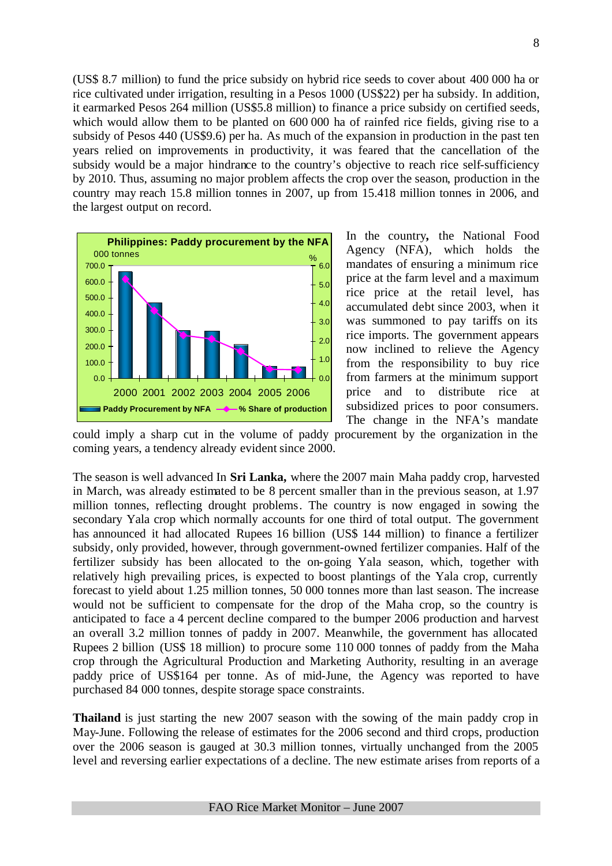(US\$ 8.7 million) to fund the price subsidy on hybrid rice seeds to cover about 400 000 ha or rice cultivated under irrigation, resulting in a Pesos 1000 (US\$22) per ha subsidy. In addition, it earmarked Pesos 264 million (US\$5.8 million) to finance a price subsidy on certified seeds, which would allow them to be planted on 600 000 ha of rainfed rice fields, giving rise to a subsidy of Pesos 440 (US\$9.6) per ha. As much of the expansion in production in the past ten years relied on improvements in productivity, it was feared that the cancellation of the subsidy would be a major hindrance to the country's objective to reach rice self-sufficiency by 2010. Thus, assuming no major problem affects the crop over the season, production in the country may reach 15.8 million tonnes in 2007, up from 15.418 million tonnes in 2006, and the largest output on record.



In the country**,** the National Food Agency (NFA), which holds the mandates of ensuring a minimum rice price at the farm level and a maximum rice price at the retail level, has accumulated debt since 2003, when it was summoned to pay tariffs on its rice imports. The government appears now inclined to relieve the Agency from the responsibility to buy rice from farmers at the minimum support price and to distribute rice at subsidized prices to poor consumers. The change in the NFA's mandate

could imply a sharp cut in the volume of paddy procurement by the organization in the coming years, a tendency already evident since 2000.

The season is well advanced In **Sri Lanka,** where the 2007 main Maha paddy crop, harvested in March, was already estimated to be 8 percent smaller than in the previous season, at 1.97 million tonnes, reflecting drought problems. The country is now engaged in sowing the secondary Yala crop which normally accounts for one third of total output. The government has announced it had allocated Rupees 16 billion (US\$ 144 million) to finance a fertilizer subsidy, only provided, however, through government-owned fertilizer companies. Half of the fertilizer subsidy has been allocated to the on-going Yala season, which, together with relatively high prevailing prices, is expected to boost plantings of the Yala crop, currently forecast to yield about 1.25 million tonnes, 50 000 tonnes more than last season. The increase would not be sufficient to compensate for the drop of the Maha crop, so the country is anticipated to face a 4 percent decline compared to the bumper 2006 production and harvest an overall 3.2 million tonnes of paddy in 2007. Meanwhile, the government has allocated Rupees 2 billion (US\$ 18 million) to procure some 110 000 tonnes of paddy from the Maha crop through the Agricultural Production and Marketing Authority, resulting in an average paddy price of US\$164 per tonne. As of mid-June, the Agency was reported to have purchased 84 000 tonnes, despite storage space constraints.

**Thailand** is just starting the new 2007 season with the sowing of the main paddy crop in May-June. Following the release of estimates for the 2006 second and third crops, production over the 2006 season is gauged at 30.3 million tonnes, virtually unchanged from the 2005 level and reversing earlier expectations of a decline. The new estimate arises from reports of a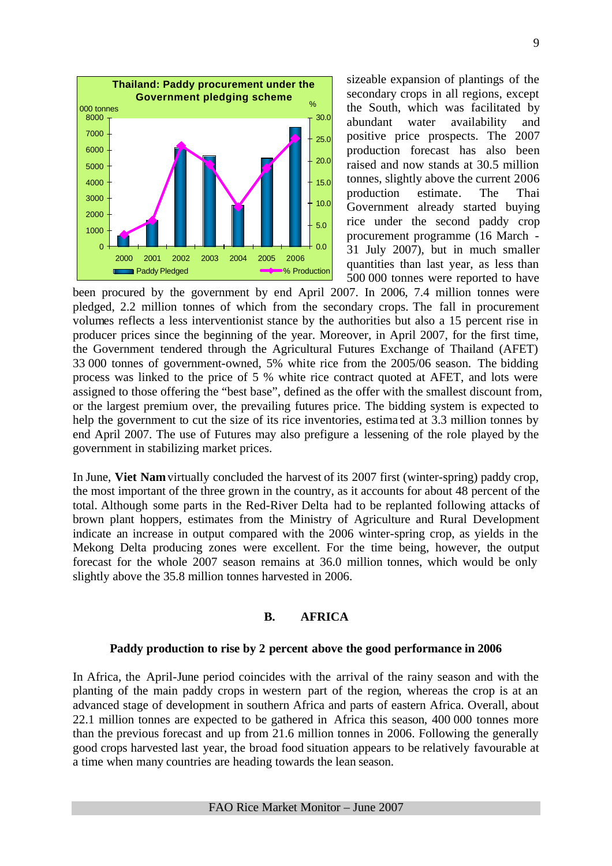

sizeable expansion of plantings of the secondary crops in all regions, except the South, which was facilitated by abundant water availability and positive price prospects. The 2007 production forecast has also been raised and now stands at 30.5 million tonnes, slightly above the current 2006 production estimate. The Thai Government already started buying rice under the second paddy crop procurement programme (16 March - 31 July 2007), but in much smaller quantities than last year, as less than 500 000 tonnes were reported to have

been procured by the government by end April 2007. In 2006, 7.4 million tonnes were pledged, 2.2 million tonnes of which from the secondary crops. The fall in procurement volumes reflects a less interventionist stance by the authorities but also a 15 percent rise in producer prices since the beginning of the year. Moreover, in April 2007, for the first time, the Government tendered through the Agricultural Futures Exchange of Thailand (AFET) 33 000 tonnes of government-owned, 5% white rice from the 2005/06 season. The bidding process was linked to the price of 5 % white rice contract quoted at AFET, and lots were assigned to those offering the "best base", defined as the offer with the smallest discount from, or the largest premium over, the prevailing futures price. The bidding system is expected to help the government to cut the size of its rice inventories, estima ted at 3.3 million tonnes by end April 2007. The use of Futures may also prefigure a lessening of the role played by the government in stabilizing market prices.

In June, **Viet Nam** virtually concluded the harvest of its 2007 first (winter-spring) paddy crop, the most important of the three grown in the country, as it accounts for about 48 percent of the total. Although some parts in the Red-River Delta had to be replanted following attacks of brown plant hoppers, estimates from the Ministry of Agriculture and Rural Development indicate an increase in output compared with the 2006 winter-spring crop, as yields in the Mekong Delta producing zones were excellent. For the time being, however, the output forecast for the whole 2007 season remains at 36.0 million tonnes, which would be only slightly above the 35.8 million tonnes harvested in 2006.

### **B. AFRICA**

### **Paddy production to rise by 2 percent above the good performance in 2006**

In Africa, the April-June period coincides with the arrival of the rainy season and with the planting of the main paddy crops in western part of the region, whereas the crop is at an advanced stage of development in southern Africa and parts of eastern Africa. Overall, about 22.1 million tonnes are expected to be gathered in Africa this season, 400 000 tonnes more than the previous forecast and up from 21.6 million tonnes in 2006. Following the generally good crops harvested last year, the broad food situation appears to be relatively favourable at a time when many countries are heading towards the lean season.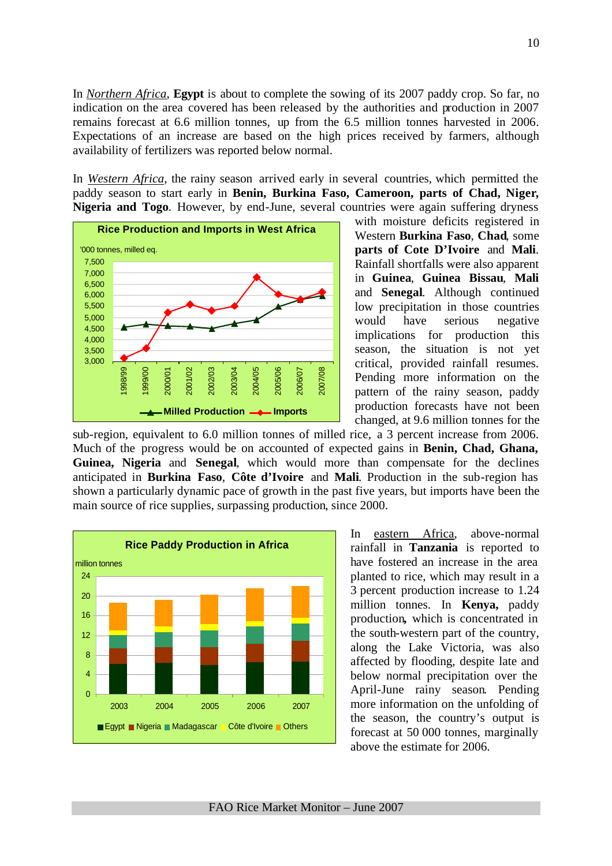In *Northern Africa*, **Egypt** is about to complete the sowing of its 2007 paddy crop. So far, no indication on the area covered has been released by the authorities and production in 2007 remains forecast at 6.6 million tonnes, up from the 6.5 million tonnes harvested in 2006. Expectations of an increase are based on the high prices received by farmers, although availability of fertilizers was reported below normal.

In *Western Africa*, the rainy season arrived early in several countries, which permitted the paddy season to start early in **Benin, Burkina Faso, Cameroon, parts of Chad, Niger, Nigeria and Togo**. However, by end-June, several countries were again suffering dryness



with moisture deficits registered in Western **Burkina Faso**, **Chad**, some **parts of Cote D'Ivoire** and **Mali**. Rainfall shortfalls were also apparent in **Guinea**, **Guinea Bissau**, **Mali** and **Senegal**. Although continued low precipitation in those countries would have serious negative implications for production this season, the situation is not yet critical, provided rainfall resumes. Pending more information on the pattern of the rainy season, paddy production forecasts have not been changed, at 9.6 million tonnes for the

sub-region, equivalent to 6.0 million tonnes of milled rice, a 3 percent increase from 2006. Much of the progress would be on accounted of expected gains in **Benin, Chad, Ghana, Guinea, Nigeria** and **Senegal**, which would more than compensate for the declines anticipated in **Burkina Faso**, **Côte d'Ivoire** and **Mali**. Production in the sub-region has shown a particularly dynamic pace of growth in the past five years, but imports have been the main source of rice supplies, surpassing production, since 2000.



In eastern Africa, above-normal rainfall in **Tanzania** is reported to have fostered an increase in the area planted to rice, which may result in a 3 percent production increase to 1.24 million tonnes. In **Kenya,** paddy production**,** which is concentrated in the south-western part of the country, along the Lake Victoria, was also affected by flooding, despite late and below normal precipitation over the April-June rainy season. Pending more information on the unfolding of the season, the country's output is forecast at 50 000 tonnes, marginally above the estimate for 2006.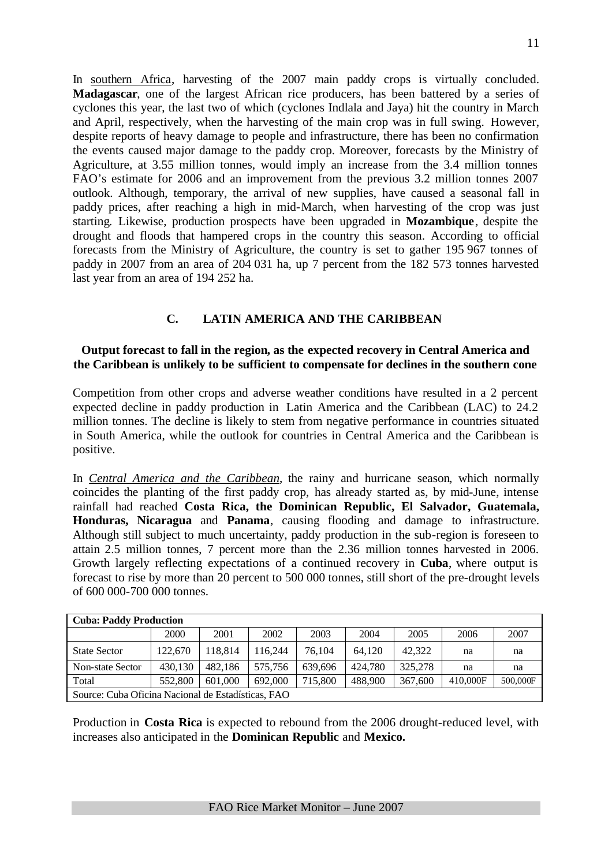In southern Africa, harvesting of the 2007 main paddy crops is virtually concluded. **Madagascar**, one of the largest African rice producers, has been battered by a series of cyclones this year, the last two of which (cyclones Indlala and Jaya) hit the country in March and April, respectively, when the harvesting of the main crop was in full swing. However, despite reports of heavy damage to people and infrastructure, there has been no confirmation the events caused major damage to the paddy crop. Moreover, forecasts by the Ministry of Agriculture, at 3.55 million tonnes, would imply an increase from the 3.4 million tonnes FAO's estimate for 2006 and an improvement from the previous 3.2 million tonnes 2007 outlook. Although, temporary, the arrival of new supplies, have caused a seasonal fall in paddy prices, after reaching a high in mid-March, when harvesting of the crop was just starting. Likewise, production prospects have been upgraded in **Mozambique**, despite the drought and floods that hampered crops in the country this season. According to official forecasts from the Ministry of Agriculture, the country is set to gather 195 967 tonnes of paddy in 2007 from an area of 204 031 ha, up 7 percent from the 182 573 tonnes harvested last year from an area of 194 252 ha.

# **C. LATIN AMERICA AND THE CARIBBEAN**

## **Output forecast to fall in the region, as the expected recovery in Central America and the Caribbean is unlikely to be sufficient to compensate for declines in the southern cone**

Competition from other crops and adverse weather conditions have resulted in a 2 percent expected decline in paddy production in Latin America and the Caribbean (LAC) to 24.2 million tonnes. The decline is likely to stem from negative performance in countries situated in South America, while the outlook for countries in Central America and the Caribbean is positive.

In *Central America and the Caribbean*, the rainy and hurricane season, which normally coincides the planting of the first paddy crop, has already started as, by mid-June, intense rainfall had reached **Costa Rica, the Dominican Republic, El Salvador, Guatemala, Honduras, Nicaragua** and **Panama**, causing flooding and damage to infrastructure. Although still subject to much uncertainty, paddy production in the sub-region is foreseen to attain 2.5 million tonnes, 7 percent more than the 2.36 million tonnes harvested in 2006. Growth largely reflecting expectations of a continued recovery in **Cuba**, where output is forecast to rise by more than 20 percent to 500 000 tonnes, still short of the pre-drought levels of 600 000-700 000 tonnes.

| <b>Cuba: Paddy Production</b>                      |         |         |         |         |         |         |          |          |  |  |  |
|----------------------------------------------------|---------|---------|---------|---------|---------|---------|----------|----------|--|--|--|
|                                                    | 2000    | 2001    | 2002    | 2003    | 2004    | 2005    | 2006     | 2007     |  |  |  |
| <b>State Sector</b>                                | 122.670 | 118.814 | 116.244 | 76,104  | 64.120  | 42.322  | na       | na       |  |  |  |
| <b>Non-state Sector</b>                            | 430.130 | 482.186 | 575.756 | 639.696 | 424,780 | 325,278 | na       | na       |  |  |  |
| Total                                              | 552,800 | 601,000 | 692,000 | 715,800 | 488,900 | 367,600 | 410,000F | 500,000F |  |  |  |
| Source: Cuba Oficina Nacional de Estadísticas, FAO |         |         |         |         |         |         |          |          |  |  |  |

|  | <b>Cuba: Paddy Production</b> |  |
|--|-------------------------------|--|

Production in **Costa Rica** is expected to rebound from the 2006 drought-reduced level, with increases also anticipated in the **Dominican Republic** and **Mexico.**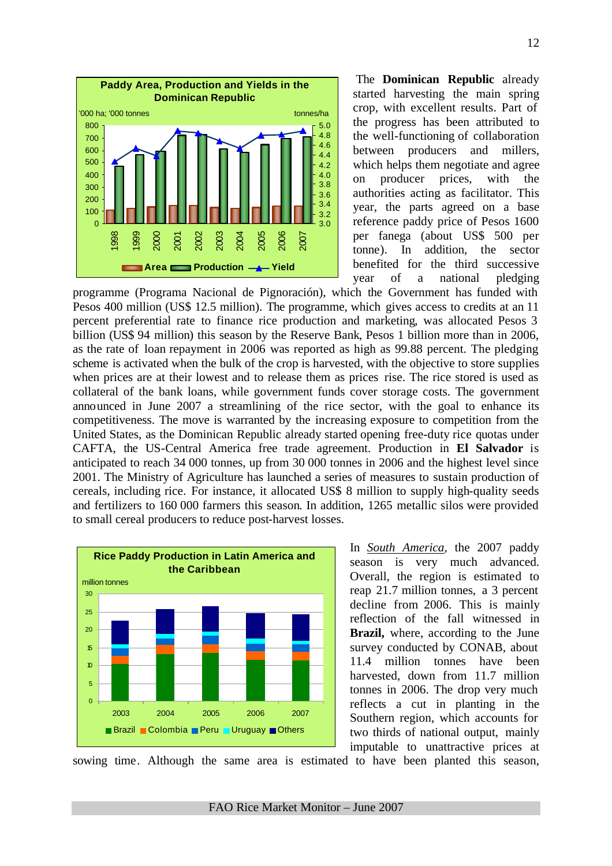

The **Dominican Republic** already started harvesting the main spring crop, with excellent results. Part of the progress has been attributed to the well-functioning of collaboration between producers and millers, which helps them negotiate and agree on producer prices, with the authorities acting as facilitator. This year, the parts agreed on a base reference paddy price of Pesos 1600 per fanega (about US\$ 500 per tonne). In addition, the sector benefited for the third successive year of a national pledging

programme (Programa Nacional de Pignoración), which the Government has funded with Pesos 400 million (US\$ 12.5 million). The programme, which gives access to credits at an 11 percent preferential rate to finance rice production and marketing, was allocated Pesos 3 billion (US\$ 94 million) this season by the Reserve Bank, Pesos 1 billion more than in 2006, as the rate of loan repayment in 2006 was reported as high as 99.88 percent. The pledging scheme is activated when the bulk of the crop is harvested, with the objective to store supplies when prices are at their lowest and to release them as prices rise. The rice stored is used as collateral of the bank loans, while government funds cover storage costs. The government announced in June 2007 a streamlining of the rice sector, with the goal to enhance its competitiveness. The move is warranted by the increasing exposure to competition from the United States, as the Dominican Republic already started opening free-duty rice quotas under CAFTA, the US-Central America free trade agreement. Production in **El Salvador** is anticipated to reach 34 000 tonnes, up from 30 000 tonnes in 2006 and the highest level since 2001. The Ministry of Agriculture has launched a series of measures to sustain production of cereals, including rice. For instance, it allocated US\$ 8 million to supply high-quality seeds and fertilizers to 160 000 farmers this season. In addition, 1265 metallic silos were provided to small cereal producers to reduce post-harvest losses.



In *South America*, the 2007 paddy season is very much advanced. Overall, the region is estimated to reap 21.7 million tonnes, a 3 percent decline from 2006. This is mainly reflection of the fall witnessed in **Brazil,** where, according to the June survey conducted by CONAB, about 11.4 million tonnes have been harvested, down from 11.7 million tonnes in 2006. The drop very much reflects a cut in planting in the Southern region, which accounts for two thirds of national output, mainly imputable to unattractive prices at

sowing time. Although the same area is estimated to have been planted this season,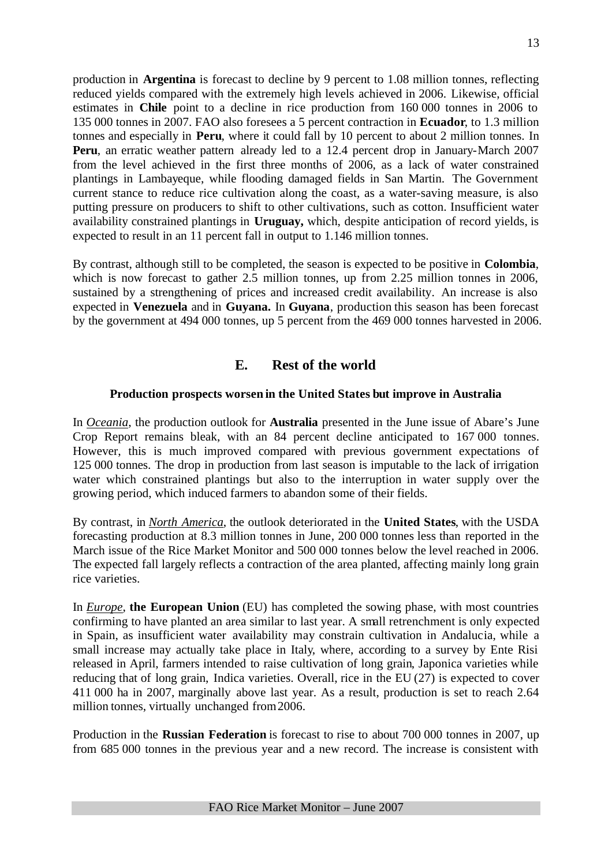production in **Argentina** is forecast to decline by 9 percent to 1.08 million tonnes, reflecting reduced yields compared with the extremely high levels achieved in 2006. Likewise, official estimates in **Chile** point to a decline in rice production from 160 000 tonnes in 2006 to 135 000 tonnes in 2007. FAO also foresees a 5 percent contraction in **Ecuador**, to 1.3 million tonnes and especially in **Peru**, where it could fall by 10 percent to about 2 million tonnes. In **Peru**, an erratic weather pattern already led to a 12.4 percent drop in January-March 2007 from the level achieved in the first three months of 2006, as a lack of water constrained plantings in Lambayeque, while flooding damaged fields in San Martin. The Government current stance to reduce rice cultivation along the coast, as a water-saving measure, is also putting pressure on producers to shift to other cultivations, such as cotton. Insufficient water availability constrained plantings in **Uruguay,** which, despite anticipation of record yields, is expected to result in an 11 percent fall in output to 1.146 million tonnes.

By contrast, although still to be completed, the season is expected to be positive in **Colombia**, which is now forecast to gather 2.5 million tonnes, up from 2.25 million tonnes in 2006, sustained by a strengthening of prices and increased credit availability. An increase is also expected in **Venezuela** and in **Guyana.** In **Guyana**, production this season has been forecast by the government at 494 000 tonnes, up 5 percent from the 469 000 tonnes harvested in 2006.

# **E. Rest of the world**

# **Production prospects worsen in the United States but improve in Australia**

In *Oceania*, the production outlook for **Australia** presented in the June issue of Abare's June Crop Report remains bleak, with an 84 percent decline anticipated to 167 000 tonnes. However, this is much improved compared with previous government expectations of 125 000 tonnes. The drop in production from last season is imputable to the lack of irrigation water which constrained plantings but also to the interruption in water supply over the growing period, which induced farmers to abandon some of their fields.

By contrast, in *North America*, the outlook deteriorated in the **United States**, with the USDA forecasting production at 8.3 million tonnes in June, 200 000 tonnes less than reported in the March issue of the Rice Market Monitor and 500 000 tonnes below the level reached in 2006. The expected fall largely reflects a contraction of the area planted, affecting mainly long grain rice varieties.

In *Europe*, **the European Union** (EU) has completed the sowing phase, with most countries confirming to have planted an area similar to last year. A small retrenchment is only expected in Spain, as insufficient water availability may constrain cultivation in Andalucia, while a small increase may actually take place in Italy, where, according to a survey by Ente Risi released in April, farmers intended to raise cultivation of long grain, Japonica varieties while reducing that of long grain, Indica varieties. Overall, rice in the EU (27) is expected to cover 411 000 ha in 2007, marginally above last year. As a result, production is set to reach 2.64 million tonnes, virtually unchanged from 2006.

Production in the **Russian Federation** is forecast to rise to about 700 000 tonnes in 2007, up from 685 000 tonnes in the previous year and a new record. The increase is consistent with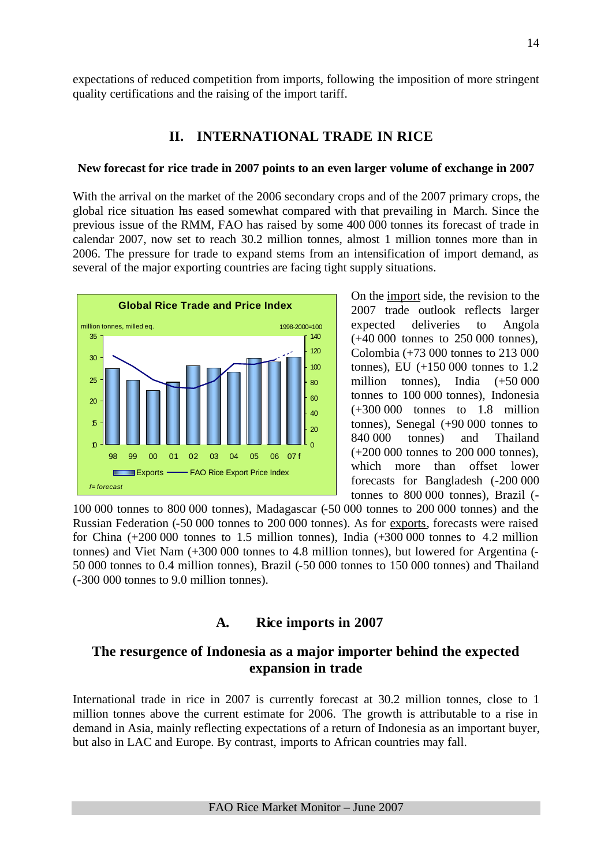expectations of reduced competition from imports, following the imposition of more stringent quality certifications and the raising of the import tariff.

# **II. INTERNATIONAL TRADE IN RICE**

#### **New forecast for rice trade in 2007 points to an even larger volume of exchange in 2007**

With the arrival on the market of the 2006 secondary crops and of the 2007 primary crops, the global rice situation has eased somewhat compared with that prevailing in March. Since the previous issue of the RMM, FAO has raised by some 400 000 tonnes its forecast of trade in calendar 2007, now set to reach 30.2 million tonnes, almost 1 million tonnes more than in 2006. The pressure for trade to expand stems from an intensification of import demand, as several of the major exporting countries are facing tight supply situations.



On the import side, the revision to the 2007 trade outlook reflects larger expected deliveries to Angola (+40 000 tonnes to 250 000 tonnes), Colombia (+73 000 tonnes to 213 000 tonnes), EU (+150 000 tonnes to 1.2 million tonnes), India (+50 000 tonnes to 100 000 tonnes), Indonesia  $(+300\,000$  tonnes to 1.8 million tonnes), Senegal (+90 000 tonnes to 840 000 tonnes) and Thailand (+200 000 tonnes to 200 000 tonnes), which more than offset lower forecasts for Bangladesh (-200 000 tonnes to 800 000 tonnes), Brazil (-

100 000 tonnes to 800 000 tonnes), Madagascar (-50 000 tonnes to 200 000 tonnes) and the Russian Federation (-50 000 tonnes to 200 000 tonnes). As for exports, forecasts were raised for China (+200 000 tonnes to 1.5 million tonnes), India (+300 000 tonnes to 4.2 million tonnes) and Viet Nam (+300 000 tonnes to 4.8 million tonnes), but lowered for Argentina (- 50 000 tonnes to 0.4 million tonnes), Brazil (-50 000 tonnes to 150 000 tonnes) and Thailand (-300 000 tonnes to 9.0 million tonnes).

# **A. Rice imports in 2007**

# **The resurgence of Indonesia as a major importer behind the expected expansion in trade**

International trade in rice in 2007 is currently forecast at 30.2 million tonnes, close to 1 million tonnes above the current estimate for 2006. The growth is attributable to a rise in demand in Asia, mainly reflecting expectations of a return of Indonesia as an important buyer, but also in LAC and Europe. By contrast, imports to African countries may fall.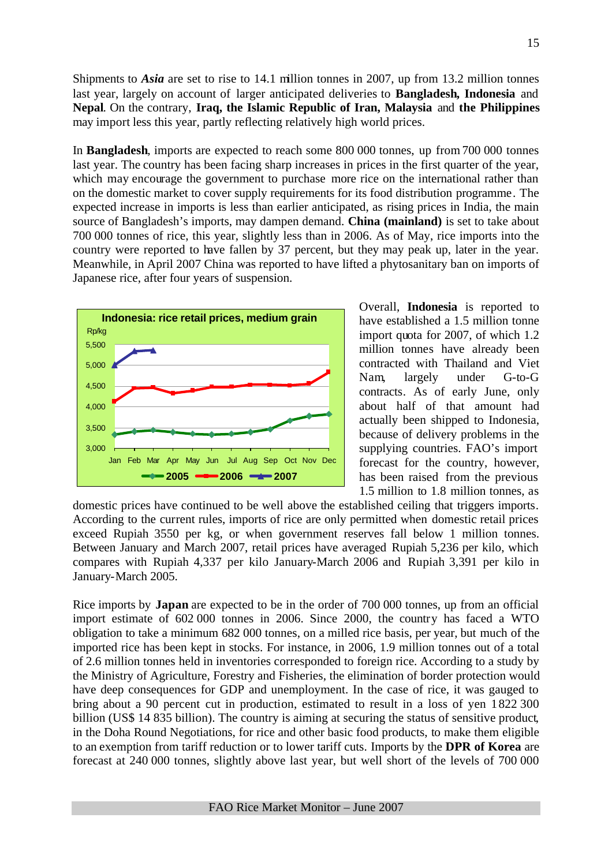Shipments to *Asia* are set to rise to 14.1 million tonnes in 2007, up from 13.2 million tonnes last year, largely on account of larger anticipated deliveries to **Bangladesh, Indonesia** and **Nepal**. On the contrary, **Iraq, the Islamic Republic of Iran, Malaysia** and **the Philippines** may import less this year, partly reflecting relatively high world prices.

In **Bangladesh**, imports are expected to reach some 800 000 tonnes, up from 700 000 tonnes last year. The country has been facing sharp increases in prices in the first quarter of the year, which may encourage the government to purchase more rice on the international rather than on the domestic market to cover supply requirements for its food distribution programme. The expected increase in imports is less than earlier anticipated, as rising prices in India, the main source of Bangladesh's imports, may dampen demand. **China (mainland)** is set to take about 700 000 tonnes of rice, this year, slightly less than in 2006. As of May, rice imports into the country were reported to have fallen by 37 percent, but they may peak up, later in the year. Meanwhile, in April 2007 China was reported to have lifted a phytosanitary ban on imports of Japanese rice, after four years of suspension.



Overall, **Indonesia** is reported to have established a 1.5 million tonne import quota for 2007, of which 1.2 million tonnes have already been contracted with Thailand and Viet Nam, largely under G-to-G contracts. As of early June, only about half of that amount had actually been shipped to Indonesia, because of delivery problems in the supplying countries. FAO's import forecast for the country, however, has been raised from the previous 1.5 million to 1.8 million tonnes, as

domestic prices have continued to be well above the established ceiling that triggers imports. According to the current rules, imports of rice are only permitted when domestic retail prices exceed Rupiah 3550 per kg, or when government reserves fall below 1 million tonnes. Between January and March 2007, retail prices have averaged Rupiah 5,236 per kilo, which compares with Rupiah 4,337 per kilo January-March 2006 and Rupiah 3,391 per kilo in January-March 2005.

Rice imports by **Japan** are expected to be in the order of 700 000 tonnes, up from an official import estimate of 602 000 tonnes in 2006. Since 2000, the country has faced a WTO obligation to take a minimum 682 000 tonnes, on a milled rice basis, per year, but much of the imported rice has been kept in stocks. For instance, in 2006, 1.9 million tonnes out of a total of 2.6 million tonnes held in inventories corresponded to foreign rice. According to a study by the Ministry of Agriculture, Forestry and Fisheries, the elimination of border protection would have deep consequences for GDP and unemployment. In the case of rice, it was gauged to bring about a 90 percent cut in production, estimated to result in a loss of yen 1822 300 billion (US\$ 14 835 billion). The country is aiming at securing the status of sensitive product, in the Doha Round Negotiations, for rice and other basic food products, to make them eligible to an exemption from tariff reduction or to lower tariff cuts. Imports by the **DPR of Korea** are forecast at 240 000 tonnes, slightly above last year, but well short of the levels of 700 000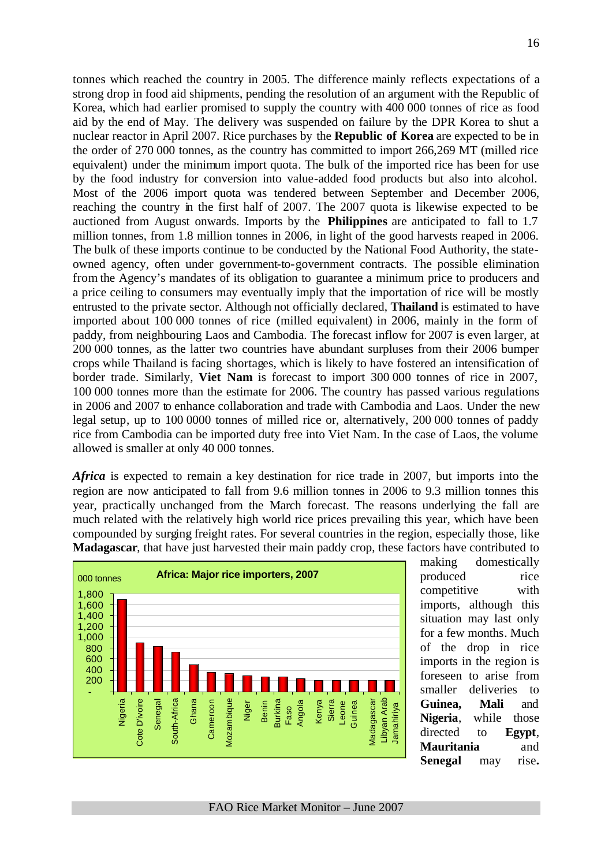tonnes which reached the country in 2005. The difference mainly reflects expectations of a strong drop in food aid shipments, pending the resolution of an argument with the Republic of Korea, which had earlier promised to supply the country with 400 000 tonnes of rice as food aid by the end of May. The delivery was suspended on failure by the DPR Korea to shut a nuclear reactor in April 2007. Rice purchases by the **Republic of Korea** are expected to be in the order of 270 000 tonnes, as the country has committed to import 266,269 MT (milled rice equivalent) under the minimum import quota. The bulk of the imported rice has been for use by the food industry for conversion into value-added food products but also into alcohol. Most of the 2006 import quota was tendered between September and December 2006, reaching the country in the first half of 2007. The 2007 quota is likewise expected to be auctioned from August onwards. Imports by the **Philippines** are anticipated to fall to 1.7 million tonnes, from 1.8 million tonnes in 2006, in light of the good harvests reaped in 2006. The bulk of these imports continue to be conducted by the National Food Authority, the stateowned agency, often under government-to-government contracts. The possible elimination from the Agency's mandates of its obligation to guarantee a minimum price to producers and a price ceiling to consumers may eventually imply that the importation of rice will be mostly entrusted to the private sector. Although not officially declared, **Thailand** is estimated to have imported about 100 000 tonnes of rice (milled equivalent) in 2006, mainly in the form of paddy, from neighbouring Laos and Cambodia. The forecast inflow for 2007 is even larger, at 200 000 tonnes, as the latter two countries have abundant surpluses from their 2006 bumper crops while Thailand is facing shortages, which is likely to have fostered an intensification of border trade. Similarly, **Viet Nam** is forecast to import 300 000 tonnes of rice in 2007, 100 000 tonnes more than the estimate for 2006. The country has passed various regulations in 2006 and 2007 to enhance collaboration and trade with Cambodia and Laos. Under the new legal setup, up to 100 0000 tonnes of milled rice or, alternatively, 200 000 tonnes of paddy rice from Cambodia can be imported duty free into Viet Nam. In the case of Laos, the volume allowed is smaller at only 40 000 tonnes.

*Africa* is expected to remain a key destination for rice trade in 2007, but imports into the region are now anticipated to fall from 9.6 million tonnes in 2006 to 9.3 million tonnes this year, practically unchanged from the March forecast. The reasons underlying the fall are much related with the relatively high world rice prices prevailing this year, which have been compounded by surging freight rates. For several countries in the region, especially those, like **Madagascar**, that have just harvested their main paddy crop, these factors have contributed to



making domestically produced rice competitive with imports, although this situation may last only for a few months. Much of the drop in rice imports in the region is foreseen to arise from smaller deliveries to **Guinea, Mali** and **Nigeria**, while those directed to **Egypt**, **Mauritania** and **Senegal** may rise**.**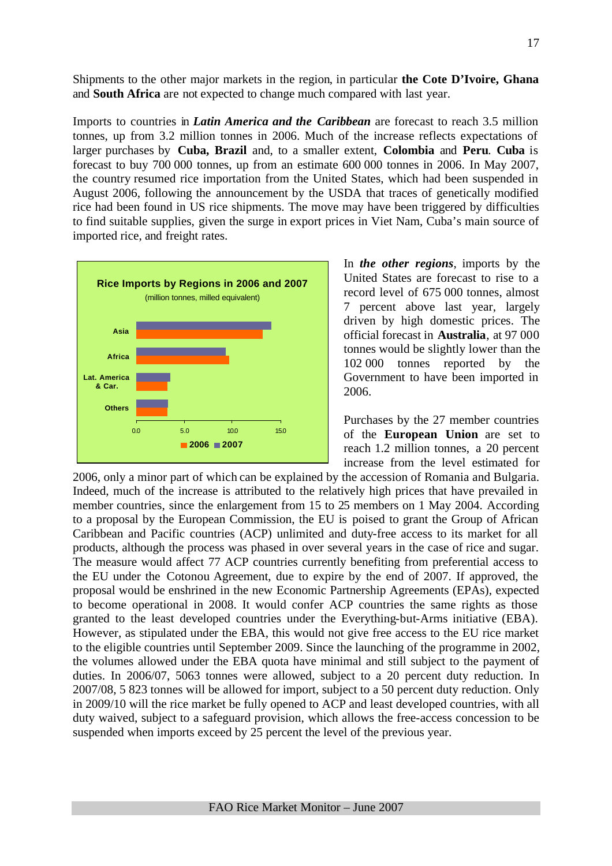Shipments to the other major markets in the region, in particular **the Cote D'Ivoire, Ghana**  and **South Africa** are not expected to change much compared with last year.

Imports to countries in *Latin America and the Caribbean* are forecast to reach 3.5 million tonnes, up from 3.2 million tonnes in 2006. Much of the increase reflects expectations of larger purchases by **Cuba, Brazil** and, to a smaller extent, **Colombia** and **Peru**. **Cuba** is forecast to buy 700 000 tonnes, up from an estimate 600 000 tonnes in 2006. In May 2007, the country resumed rice importation from the United States, which had been suspended in August 2006, following the announcement by the USDA that traces of genetically modified rice had been found in US rice shipments. The move may have been triggered by difficulties to find suitable supplies, given the surge in export prices in Viet Nam, Cuba's main source of imported rice, and freight rates.



In *the other regions*, imports by the United States are forecast to rise to a record level of 675 000 tonnes, almost 7 percent above last year, largely driven by high domestic prices. The official forecast in **Australia**, at 97 000 tonnes would be slightly lower than the 102 000 tonnes reported by the Government to have been imported in 2006.

Purchases by the 27 member countries of the **European Union** are set to reach 1.2 million tonnes, a 20 percent increase from the level estimated for

2006, only a minor part of which can be explained by the accession of Romania and Bulgaria. Indeed, much of the increase is attributed to the relatively high prices that have prevailed in member countries, since the enlargement from 15 to 25 members on 1 May 2004. According to a proposal by the European Commission, the EU is poised to grant the Group of African Caribbean and Pacific countries (ACP) unlimited and duty-free access to its market for all products, although the process was phased in over several years in the case of rice and sugar. The measure would affect 77 ACP countries currently benefiting from preferential access to the EU under the Cotonou Agreement, due to expire by the end of 2007. If approved, the proposal would be enshrined in the new Economic Partnership Agreements (EPAs), expected to become operational in 2008. It would confer ACP countries the same rights as those granted to the least developed countries under the Everything-but-Arms initiative (EBA). However, as stipulated under the EBA, this would not give free access to the EU rice market to the eligible countries until September 2009. Since the launching of the programme in 2002, the volumes allowed under the EBA quota have minimal and still subject to the payment of duties. In 2006/07, 5063 tonnes were allowed, subject to a 20 percent duty reduction. In 2007/08, 5 823 tonnes will be allowed for import, subject to a 50 percent duty reduction. Only in 2009/10 will the rice market be fully opened to ACP and least developed countries, with all duty waived, subject to a safeguard provision, which allows the free-access concession to be suspended when imports exceed by 25 percent the level of the previous year.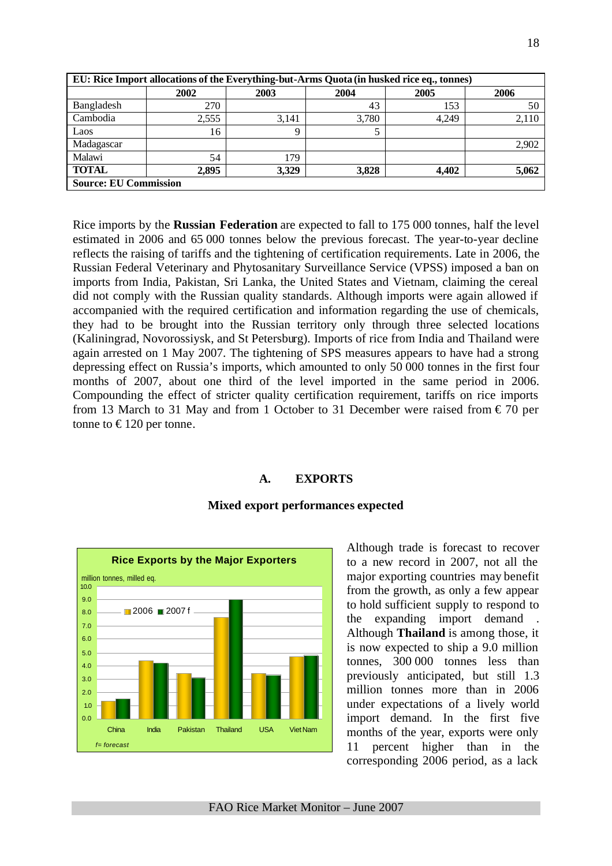| EU: Rice Import allocations of the Everything-but-Arms Quota (in husked rice eq., tonnes) |       |       |       |       |       |  |  |  |  |
|-------------------------------------------------------------------------------------------|-------|-------|-------|-------|-------|--|--|--|--|
|                                                                                           | 2002  | 2003  | 2004  | 2005  | 2006  |  |  |  |  |
| Bangladesh                                                                                | 270   |       | 43    | 153   | 50    |  |  |  |  |
| Cambodia                                                                                  | 2,555 | 3.141 | 3,780 | 4.249 | 2,110 |  |  |  |  |
| Laos                                                                                      | 16    | Q     |       |       |       |  |  |  |  |
| Madagascar                                                                                |       |       |       |       | 2,902 |  |  |  |  |
| Malawi                                                                                    | 54    | 179   |       |       |       |  |  |  |  |
| <b>TOTAL</b>                                                                              | 2,895 | 3,329 | 3,828 | 4,402 | 5,062 |  |  |  |  |
| <b>Source: EU Commission</b>                                                              |       |       |       |       |       |  |  |  |  |

Rice imports by the **Russian Federation** are expected to fall to 175 000 tonnes, half the level estimated in 2006 and 65 000 tonnes below the previous forecast. The year-to-year decline reflects the raising of tariffs and the tightening of certification requirements. Late in 2006, the Russian Federal Veterinary and Phytosanitary Surveillance Service (VPSS) imposed a ban on imports from India, Pakistan, Sri Lanka, the United States and Vietnam, claiming the cereal did not comply with the Russian quality standards. Although imports were again allowed if accompanied with the required certification and information regarding the use of chemicals, they had to be brought into the Russian territory only through three selected locations (Kaliningrad, Novorossiysk, and St Petersburg). Imports of rice from India and Thailand were again arrested on 1 May 2007. The tightening of SPS measures appears to have had a strong depressing effect on Russia's imports, which amounted to only 50 000 tonnes in the first four months of 2007, about one third of the level imported in the same period in 2006. Compounding the effect of stricter quality certification requirement, tariffs on rice imports from 13 March to 31 May and from 1 October to 31 December were raised from  $\epsilon$  70 per tonne to  $\epsilon$ 120 per tonne.

### **A. EXPORTS**



### **Mixed export performances expected**

Although trade is forecast to recover to a new record in 2007, not all the major exporting countries may benefit from the growth, as only a few appear to hold sufficient supply to respond to the expanding import demand Although **Thailand** is among those, it is now expected to ship a 9.0 million tonnes, 300 000 tonnes less than previously anticipated, but still 1.3 million tonnes more than in 2006 under expectations of a lively world import demand. In the first five months of the year, exports were only 11 percent higher than in the corresponding 2006 period, as a lack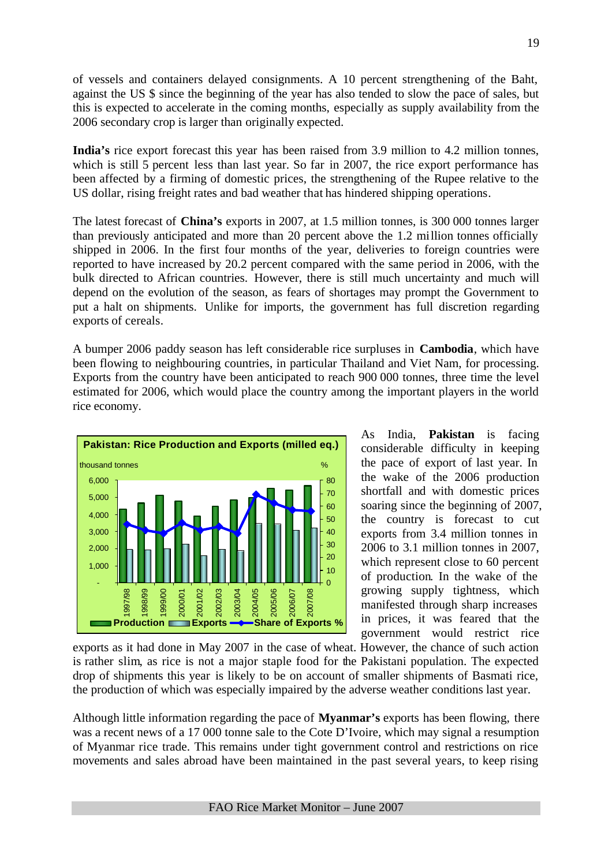of vessels and containers delayed consignments. A 10 percent strengthening of the Baht, against the US \$ since the beginning of the year has also tended to slow the pace of sales, but this is expected to accelerate in the coming months, especially as supply availability from the 2006 secondary crop is larger than originally expected.

**India's** rice export forecast this year has been raised from 3.9 million to 4.2 million tonnes, which is still 5 percent less than last year. So far in 2007, the rice export performance has been affected by a firming of domestic prices, the strengthening of the Rupee relative to the US dollar, rising freight rates and bad weather that has hindered shipping operations.

The latest forecast of **China's** exports in 2007, at 1.5 million tonnes, is 300 000 tonnes larger than previously anticipated and more than 20 percent above the 1.2 million tonnes officially shipped in 2006. In the first four months of the year, deliveries to foreign countries were reported to have increased by 20.2 percent compared with the same period in 2006, with the bulk directed to African countries. However, there is still much uncertainty and much will depend on the evolution of the season, as fears of shortages may prompt the Government to put a halt on shipments. Unlike for imports, the government has full discretion regarding exports of cereals.

A bumper 2006 paddy season has left considerable rice surpluses in **Cambodia**, which have been flowing to neighbouring countries, in particular Thailand and Viet Nam, for processing. Exports from the country have been anticipated to reach 900 000 tonnes, three time the level estimated for 2006, which would place the country among the important players in the world rice economy.



As India, **Pakistan** is facing considerable difficulty in keeping the pace of export of last year. In the wake of the 2006 production shortfall and with domestic prices soaring since the beginning of 2007, the country is forecast to cut exports from 3.4 million tonnes in 2006 to 3.1 million tonnes in 2007, which represent close to 60 percent of production. In the wake of the growing supply tightness, which manifested through sharp increases in prices, it was feared that the government would restrict rice

exports as it had done in May 2007 in the case of wheat. However, the chance of such action is rather slim, as rice is not a major staple food for the Pakistani population. The expected drop of shipments this year is likely to be on account of smaller shipments of Basmati rice, the production of which was especially impaired by the adverse weather conditions last year.

Although little information regarding the pace of **Myanmar's** exports has been flowing, there was a recent news of a 17 000 tonne sale to the Cote D'Ivoire, which may signal a resumption of Myanmar rice trade. This remains under tight government control and restrictions on rice movements and sales abroad have been maintained in the past several years, to keep rising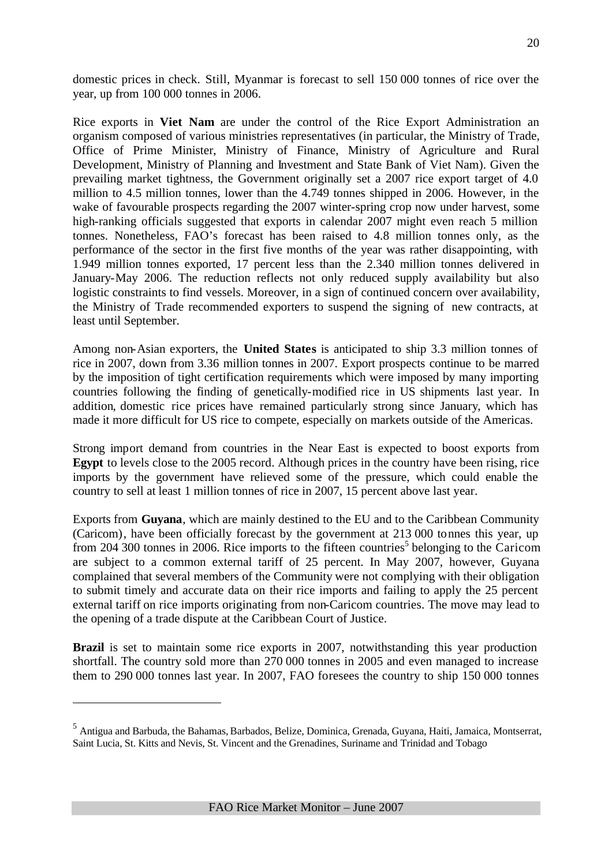domestic prices in check. Still, Myanmar is forecast to sell 150 000 tonnes of rice over the year, up from 100 000 tonnes in 2006.

Rice exports in **Viet Nam** are under the control of the Rice Export Administration an organism composed of various ministries representatives (in particular, the Ministry of Trade, Office of Prime Minister, Ministry of Finance, Ministry of Agriculture and Rural Development, Ministry of Planning and Investment and State Bank of Viet Nam). Given the prevailing market tightness, the Government originally set a 2007 rice export target of 4.0 million to 4.5 million tonnes, lower than the 4.749 tonnes shipped in 2006. However, in the wake of favourable prospects regarding the 2007 winter-spring crop now under harvest, some high-ranking officials suggested that exports in calendar 2007 might even reach 5 million tonnes. Nonetheless, FAO's forecast has been raised to 4.8 million tonnes only, as the performance of the sector in the first five months of the year was rather disappointing, with 1.949 million tonnes exported, 17 percent less than the 2.340 million tonnes delivered in January-May 2006. The reduction reflects not only reduced supply availability but also logistic constraints to find vessels. Moreover, in a sign of continued concern over availability, the Ministry of Trade recommended exporters to suspend the signing of new contracts, at least until September.

Among non-Asian exporters, the **United States** is anticipated to ship 3.3 million tonnes of rice in 2007, down from 3.36 million tonnes in 2007. Export prospects continue to be marred by the imposition of tight certification requirements which were imposed by many importing countries following the finding of genetically-modified rice in US shipments last year. In addition, domestic rice prices have remained particularly strong since January, which has made it more difficult for US rice to compete, especially on markets outside of the Americas.

Strong import demand from countries in the Near East is expected to boost exports from **Egypt** to levels close to the 2005 record. Although prices in the country have been rising, rice imports by the government have relieved some of the pressure, which could enable the country to sell at least 1 million tonnes of rice in 2007, 15 percent above last year.

Exports from **Guyana**, which are mainly destined to the EU and to the Caribbean Community (Caricom), have been officially forecast by the government at 213 000 tonnes this year, up from 204 300 tonnes in 2006. Rice imports to the fifteen countries<sup>5</sup> belonging to the Caricom are subject to a common external tariff of 25 percent. In May 2007, however, Guyana complained that several members of the Community were not complying with their obligation to submit timely and accurate data on their rice imports and failing to apply the 25 percent external tariff on rice imports originating from non-Caricom countries. The move may lead to the opening of a trade dispute at the Caribbean Court of Justice.

**Brazil** is set to maintain some rice exports in 2007, notwithstanding this year production shortfall. The country sold more than 270 000 tonnes in 2005 and even managed to increase them to 290 000 tonnes last year. In 2007, FAO foresees the country to ship 150 000 tonnes

 $\overline{a}$ 

<sup>5</sup> Antigua and Barbuda, the Bahamas, Barbados, Belize, Dominica, Grenada, Guyana, Haiti, Jamaica, Montserrat, Saint Lucia, St. Kitts and Nevis, St. Vincent and the Grenadines, Suriname and Trinidad and Tobago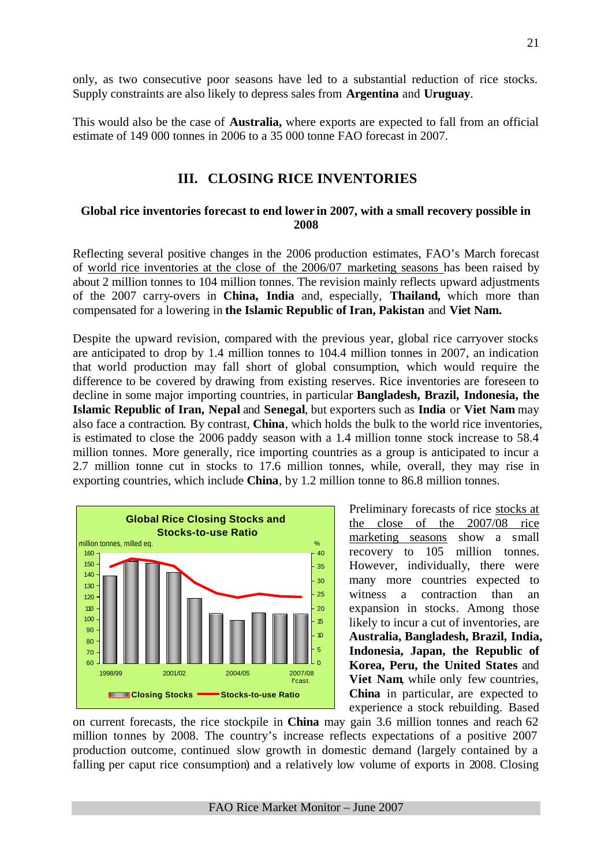only, as two consecutive poor seasons have led to a substantial reduction of rice stocks. Supply constraints are also likely to depress sales from **Argentina** and **Uruguay**.

This would also be the case of **Australia,** where exports are expected to fall from an official estimate of 149 000 tonnes in 2006 to a 35 000 tonne FAO forecast in 2007.

# **III. CLOSING RICE INVENTORIES**

#### **Global rice inventories forecast to end lower in 2007, with a small recovery possible in 2008**

Reflecting several positive changes in the 2006 production estimates, FAO's March forecast of world rice inventories at the close of the 2006/07 marketing seasons has been raised by about 2 million tonnes to 104 million tonnes. The revision mainly reflects upward adjustments of the 2007 carry-overs in **China, India** and, especially, **Thailand,** which more than compensated for a lowering in **the Islamic Republic of Iran, Pakistan** and **Viet Nam.**

Despite the upward revision, compared with the previous year, global rice carryover stocks are anticipated to drop by 1.4 million tonnes to 104.4 million tonnes in 2007, an indication that world production may fall short of global consumption, which would require the difference to be covered by drawing from existing reserves. Rice inventories are foreseen to decline in some major importing countries, in particular **Bangladesh, Brazil, Indonesia, the Islamic Republic of Iran, Nepal** and **Senegal**, but exporters such as **India** or **Viet Nam** may also face a contraction. By contrast, **China**, which holds the bulk to the world rice inventories, is estimated to close the 2006 paddy season with a 1.4 million tonne stock increase to 58.4 million tonnes. More generally, rice importing countries as a group is anticipated to incur a 2.7 million tonne cut in stocks to 17.6 million tonnes, while, overall, they may rise in exporting countries, which include **China**, by 1.2 million tonne to 86.8 million tonnes.



Preliminary forecasts of rice stocks at the close of the 2007/08 rice marketing seasons show a small recovery to 105 million tonnes. However, individually, there were many more countries expected to witness a contraction than an expansion in stocks. Among those likely to incur a cut of inventories, are **Australia, Bangladesh, Brazil, India, Indonesia, Japan, the Republic of Korea, Peru, the United States** and **Viet Nam**, while only few countries, **China** in particular, are expected to experience a stock rebuilding. Based

on current forecasts, the rice stockpile in **China** may gain 3.6 million tonnes and reach 62 million tonnes by 2008. The country's increase reflects expectations of a positive 2007 production outcome, continued slow growth in domestic demand (largely contained by a falling per caput rice consumption) and a relatively low volume of exports in 2008. Closing

FAO Rice Market Monitor – June 2007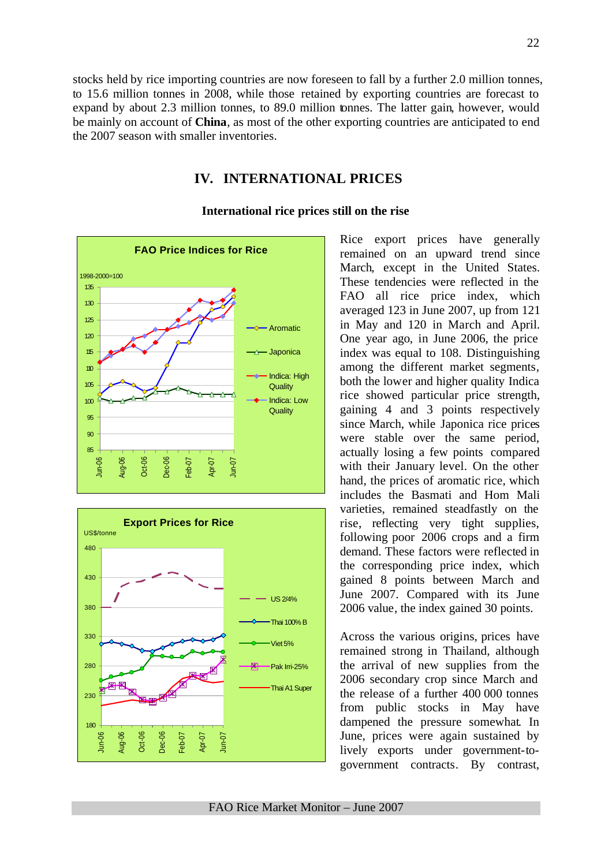stocks held by rice importing countries are now foreseen to fall by a further 2.0 million tonnes, to 15.6 million tonnes in 2008, while those retained by exporting countries are forecast to expand by about 2.3 million tonnes, to 89.0 million tonnes. The latter gain, however, would be mainly on account of **China**, as most of the other exporting countries are anticipated to end the 2007 season with smaller inventories.

# **IV. INTERNATIONAL PRICES**





### **International rice prices still on the rise**

Rice export prices have generally remained on an upward trend since March, except in the United States. These tendencies were reflected in the FAO all rice price index, which averaged 123 in June 2007, up from 121 in May and 120 in March and April. One year ago, in June 2006, the price index was equal to 108. Distinguishing among the different market segments, both the lower and higher quality Indica rice showed particular price strength, gaining 4 and 3 points respectively since March, while Japonica rice prices were stable over the same period, actually losing a few points compared with their January level. On the other hand, the prices of aromatic rice, which includes the Basmati and Hom Mali varieties, remained steadfastly on the rise, reflecting very tight supplies, following poor 2006 crops and a firm demand. These factors were reflected in the corresponding price index, which gained 8 points between March and June 2007. Compared with its June 2006 value, the index gained 30 points.

Across the various origins, prices have remained strong in Thailand, although the arrival of new supplies from the 2006 secondary crop since March and the release of a further 400 000 tonnes from public stocks in May have dampened the pressure somewhat. In June, prices were again sustained by lively exports under government-togovernment contracts. By contrast,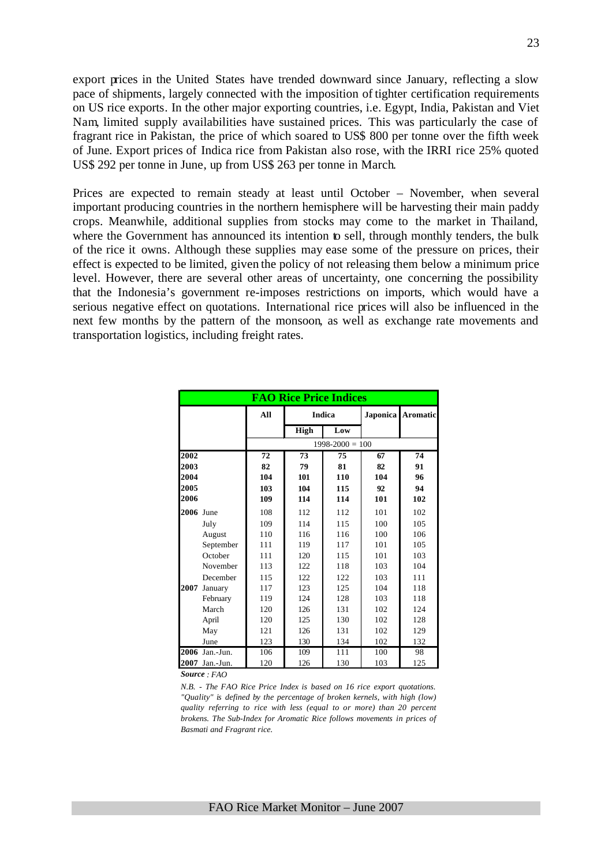export prices in the United States have trended downward since January, reflecting a slow pace of shipments, largely connected with the imposition of tighter certification requirements on US rice exports. In the other major exporting countries, i.e. Egypt, India, Pakistan and Viet Nam, limited supply availabilities have sustained prices. This was particularly the case of fragrant rice in Pakistan, the price of which soared to US\$ 800 per tonne over the fifth week of June. Export prices of Indica rice from Pakistan also rose, with the IRRI rice 25% quoted US\$ 292 per tonne in June, up from US\$ 263 per tonne in March.

Prices are expected to remain steady at least until October – November, when several important producing countries in the northern hemisphere will be harvesting their main paddy crops. Meanwhile, additional supplies from stocks may come to the market in Thailand, where the Government has announced its intention to sell, through monthly tenders, the bulk of the rice it owns. Although these supplies may ease some of the pressure on prices, their effect is expected to be limited, given the policy of not releasing them below a minimum price level. However, there are several other areas of uncertainty, one concerning the possibility that the Indonesia's government re-imposes restrictions on imports, which would have a serious negative effect on quotations. International rice prices will also be influenced in the next few months by the pattern of the monsoon, as well as exchange rate movements and transportation logistics, including freight rates.

|      | <b>FAO Rice Price Indices</b> |     |      |                     |                 |                 |  |  |  |  |
|------|-------------------------------|-----|------|---------------------|-----------------|-----------------|--|--|--|--|
|      |                               | All |      | <b>Indica</b>       | <b>Japonica</b> | <b>Aromatic</b> |  |  |  |  |
|      |                               |     | High | Low                 |                 |                 |  |  |  |  |
|      |                               |     |      | $1998 - 2000 = 100$ |                 |                 |  |  |  |  |
| 2002 |                               | 72  | 73   | 75                  | 67              | 74              |  |  |  |  |
| 2003 |                               | 82  | 79   | 81                  | 82              | 91              |  |  |  |  |
| 2004 |                               | 104 | 101  | 110                 | 104             | 96              |  |  |  |  |
| 2005 |                               | 103 | 104  | 115                 | 92              | 94              |  |  |  |  |
| 2006 |                               | 109 | 114  | 114                 | 101             | 102             |  |  |  |  |
| 2006 | June                          | 108 | 112  | 112                 | 101             | 102             |  |  |  |  |
|      | July                          | 109 | 114  | 115                 | 100             | 105             |  |  |  |  |
|      | August                        | 110 | 116  | 116                 | 100             | 106             |  |  |  |  |
|      | September                     | 111 | 119  | 117                 | 101             | 105             |  |  |  |  |
|      | October                       | 111 | 120  | 115                 | 101             | 103             |  |  |  |  |
|      | November                      | 113 | 122  | 118                 | 103             | 104             |  |  |  |  |
|      | December                      | 115 | 122  | 122                 | 103             | 111             |  |  |  |  |
| 2007 | January                       | 117 | 123  | 125                 | 104             | 118             |  |  |  |  |
|      | February                      | 119 | 124  | 128                 | 103             | 118             |  |  |  |  |
|      | March                         | 120 | 126  | 131                 | 102             | 124             |  |  |  |  |
|      | April                         | 120 | 125  | 130                 | 102             | 128             |  |  |  |  |
|      | May                           | 121 | 126  | 131                 | 102             | 129             |  |  |  |  |
|      | June                          | 123 | 130  | 134                 | 102             | 132             |  |  |  |  |
|      | 2006 Jan.-Jun.                | 106 | 109  | 111                 | 100             | 98              |  |  |  |  |
|      | 2007 Jan.-Jun.                | 120 | 126  | 130                 | 103             | 125             |  |  |  |  |

*Source : FAO* 

*N.B. - The FAO Rice Price Index is based on 16 rice export quotations. "Quality" is defined by the percentage of broken kernels, with high (low) quality referring to rice with less (equal to or more) than 20 percent brokens. The Sub-Index for Aromatic Rice follows movements in prices of Basmati and Fragrant rice.*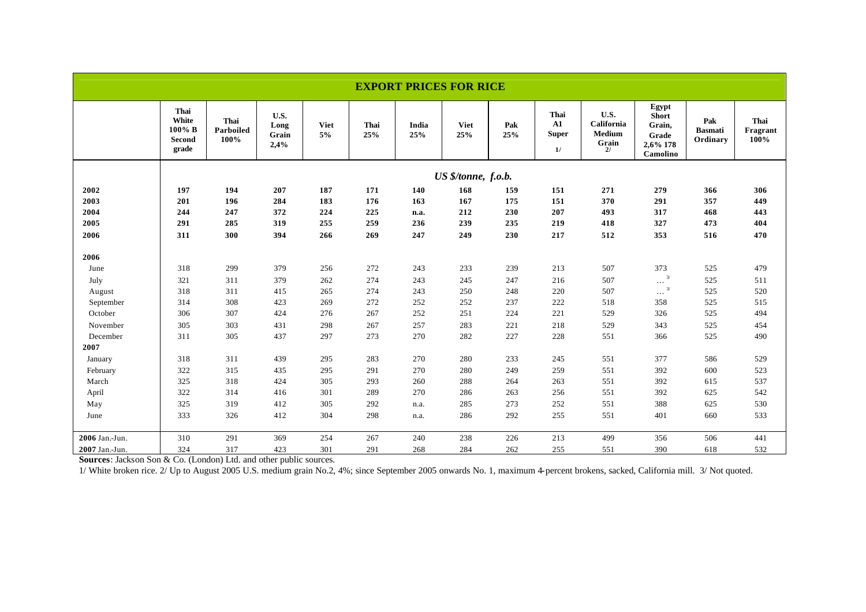| <b>EXPORT PRICES FOR RICE</b> |                                            |                           |                               |                   |             |              |                     |            |                                          |                                             |                                                                  |                                   |                          |
|-------------------------------|--------------------------------------------|---------------------------|-------------------------------|-------------------|-------------|--------------|---------------------|------------|------------------------------------------|---------------------------------------------|------------------------------------------------------------------|-----------------------------------|--------------------------|
|                               | Thai<br>White<br>100% B<br>Second<br>grade | Thai<br>Parboiled<br>100% | U.S.<br>Long<br>Grain<br>2,4% | <b>Viet</b><br>5% | Thai<br>25% | India<br>25% | <b>Viet</b><br>25%  | Pak<br>25% | Thai<br>${\bf A1}$<br><b>Super</b><br>1/ | U.S.<br>California<br>Medium<br>Grain<br>2l | Egypt<br><b>Short</b><br>Grain,<br>Grade<br>2,6% 178<br>Camolino | Pak<br><b>Basmati</b><br>Ordinary | Thai<br>Fragrant<br>100% |
|                               |                                            |                           |                               |                   |             |              | US \$/tonne, f.o.b. |            |                                          |                                             |                                                                  |                                   |                          |
| 2002                          | 197                                        | 194                       | 207                           | 187               | 171         | 140          | 168                 | 159        | 151                                      | 271                                         | 279                                                              | 366                               | 306                      |
| 2003                          | 201                                        | 196                       | 284                           | 183               | 176         | 163          | 167                 | 175        | 151                                      | 370                                         | 291                                                              | 357                               | 449                      |
| 2004                          | 244                                        | 247                       | 372                           | 224               | 225         | n.a.         | 212                 | 230        | 207                                      | 493                                         | 317                                                              | 468                               | 443                      |
| 2005                          | 291                                        | 285                       | 319                           | 255               | 259         | 236          | 239                 | 235        | 219                                      | 418                                         | 327                                                              | 473                               | 404                      |
| 2006                          | 311                                        | 300                       | 394                           | 266               | 269         | 247          | 249                 | 230        | 217                                      | 512                                         | 353                                                              | 516                               | 470                      |
| 2006                          |                                            |                           |                               |                   |             |              |                     |            |                                          |                                             |                                                                  |                                   |                          |
| June                          | 318                                        | 299                       | 379                           | 256               | 272         | 243          | 233                 | 239        | 213                                      | 507                                         | 373                                                              | 525                               | 479                      |
| July                          | 321                                        | 311                       | 379                           | 262               | 274         | 243          | 245                 | 247        | 216                                      | 507                                         | 3/<br>$\ldots$                                                   | 525                               | 511                      |
| August                        | 318                                        | 311                       | 415                           | 265               | 274         | 243          | 250                 | 248        | 220                                      | 507                                         | 3/<br>$\cdots$                                                   | 525                               | 520                      |
| September                     | 314                                        | 308                       | 423                           | 269               | 272         | 252          | 252                 | 237        | 222                                      | 518                                         | 358                                                              | 525                               | 515                      |
| October                       | 306                                        | 307                       | 424                           | 276               | 267         | 252          | 251                 | 224        | 221                                      | 529                                         | 326                                                              | 525                               | 494                      |
| November                      | 305                                        | 303                       | 431                           | 298               | 267         | 257          | 283                 | 221        | 218                                      | 529                                         | 343                                                              | 525                               | 454                      |
| December                      | 311                                        | 305                       | 437                           | 297               | 273         | 270          | 282                 | 227        | 228                                      | 551                                         | 366                                                              | 525                               | 490                      |
| 2007                          |                                            |                           |                               |                   |             |              |                     |            |                                          |                                             |                                                                  |                                   |                          |
| January                       | 318                                        | 311                       | 439                           | 295               | 283         | 270          | 280                 | 233        | 245                                      | 551                                         | 377                                                              | 586                               | 529                      |
| February                      | 322                                        | 315                       | 435                           | 295               | 291         | 270          | 280                 | 249        | 259                                      | 551                                         | 392                                                              | 600                               | 523                      |
| March                         | 325                                        | 318                       | 424                           | 305               | 293         | 260          | 288                 | 264        | 263                                      | 551                                         | 392                                                              | 615                               | 537                      |
| April                         | 322                                        | 314                       | 416                           | 301               | 289         | 270          | 286                 | 263        | 256                                      | 551                                         | 392                                                              | 625                               | 542                      |
| May                           | 325                                        | 319                       | 412                           | 305               | 292         | n.a.         | 285                 | 273        | 252                                      | 551                                         | 388                                                              | 625                               | 530                      |
| June                          | 333                                        | 326                       | 412                           | 304               | 298         | n.a.         | 286                 | 292        | 255                                      | 551                                         | 401                                                              | 660                               | 533                      |
| 2006 Jan.-Jun.                | 310                                        | 291                       | 369                           | 254               | 267         | 240          | 238                 | 226        | 213                                      | 499                                         | 356                                                              | 506                               | 441                      |
| 2007 Jan.-Jun.                | 324                                        | 317                       | 423                           | 301               | 291         | 268          | 284                 | 262        | 255                                      | 551                                         | 390                                                              | 618                               | 532                      |

**Sources**: Jackson Son & Co. (London) Ltd. and other public sources.

1/ White broken rice. 2/ Up to August 2005 U.S. medium grain No.2, 4%; since September 2005 onwards No. 1, maximum 4-percent brokens, sacked, California mill. 3/ Not quoted.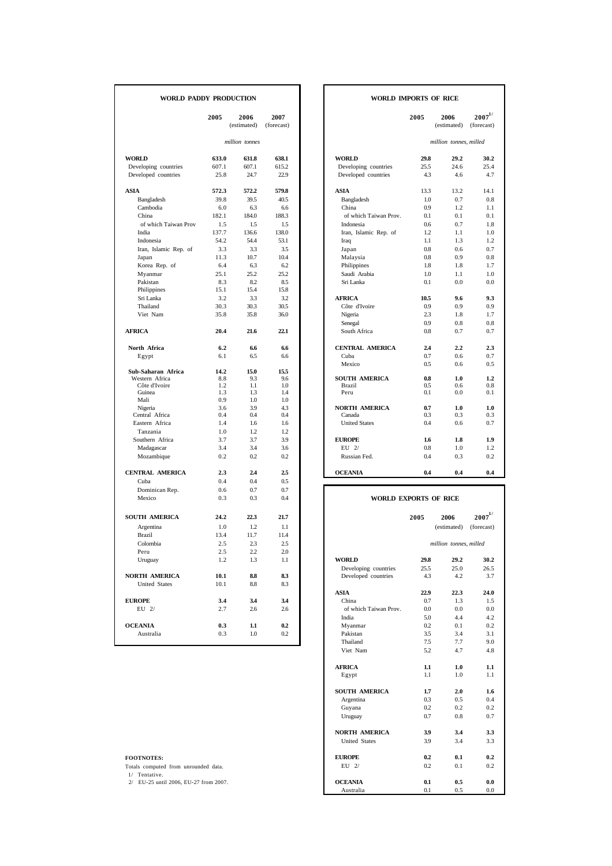| WORLD PADDY PRODUCTION |       |                     |                    | <b>WORLD IMPORTS OF RICE</b> |         |                        |                           |
|------------------------|-------|---------------------|--------------------|------------------------------|---------|------------------------|---------------------------|
|                        | 2005  | 2006<br>(estimated) | 2007<br>(forecast) |                              | 2005    | 2006<br>(estimated)    | $2007^{1/}$<br>(forecast) |
|                        |       | million tonnes      |                    |                              |         | million tonnes, milled |                           |
| <b>WORLD</b>           | 633.0 | 631.8               | 638.1              | <b>WORLD</b>                 | 29.8    | 29.2                   | 30.2                      |
| Developing countries   | 607.1 | 607.1               | 615.2              | Developing countries         | 25.5    | 24.6                   | 25.4                      |
| Developed countries    | 25.8  | 24.7                | 22.9               | Developed countries          | 4.3     | 4.6                    | 4.7                       |
| ASIA                   | 572.3 | 572.2               | 579.8              | ASIA                         | 13.3    | 13.2                   | 14.1                      |
| Bangladesh             | 39.8  | 39.5                | 40.5               | Bangladesh                   | 1.0     | 0.7                    | 0.8                       |
| Cambodia               | 6.0   | 6.3                 | 6.6                | China                        | 0.9     | 1.2                    | 1.1                       |
| China                  | 182.1 | 184.0               | 188.3              | of which Taiwan Prov.        | 0.1     | 0.1                    | 0.1                       |
| of which Taiwan Prov   | 1.5   | 1.5                 | 1.5                | Indonesia                    | 0.6     | 0.7                    | 1.8                       |
| India                  | 137.7 | 136.6               | 138.0              | Iran, Islamic Rep. of        | 1.2     | 1.1                    | 1.0                       |
| Indonesia              | 54.2  | 54.4                | 53.1               | Iraq                         | 1.1     | 1.3                    | 1.2                       |
| Iran, Islamic Rep. of  | 3.3   | 3.3                 | 3.5                | Japan                        | 0.8     | 0.6                    | 0.7                       |
| Japan                  | 11.3  | 10.7                | 10.4               | Malaysia                     | 0.8     | 0.9                    | 0.8                       |
| Korea Rep. of          | 6.4   | 6.3                 | 6.2                | Philippines                  | 1.8     | 1.8                    | 1.7                       |
| Myanmar                | 25.1  | 25.2                | 25.2               | Saudi Arabia                 | 1.0     | 1.1                    | 1.0                       |
|                        |       | 8.2                 |                    | Sri Lanka                    | 0.1     | 0.0                    | 0.0                       |
| Pakistan               | 8.3   | 15.4                | 8.5                |                              |         |                        |                           |
| Philippines            | 15.1  |                     | 15.8               |                              |         |                        |                           |
| Sri Lanka              | 3.2   | 3.3                 | 3.2                | <b>AFRICA</b>                | 10.5    | 9.6                    | 9.3                       |
| Thailand               | 30.3  | 30.3                | 30.5               | Côte d'Ivoire                | 0.9     | 0.9                    | 0.9                       |
| Viet Nam               | 35.8  | 35.8                | 36.0               | Nigeria                      | 2.3     | 1.8                    | 1.7                       |
|                        |       |                     |                    | Senegal                      | 0.9     | 0.8                    | 0.8                       |
| <b>AFRICA</b>          | 20.4  | 21.6                | 22,1               | South Africa                 | 0.8     | 0.7                    | 0.7                       |
| North Africa           | 6.2   | 6.6                 | 6.6                | <b>CENTRAL AMERICA</b>       | 2.4     | 2.2                    | 2.3                       |
| Egypt                  | 6.1   | 6.5                 | 6.6                | Cuba                         | 0.7     | 0.6                    | 0.7                       |
|                        |       |                     |                    | Mexico                       | 0.5     | 0.6                    | 0.5                       |
| Sub-Saharan Africa     | 14.2  | 15.0                | 15.5               |                              |         |                        |                           |
| Western Africa         | 8.8   | 9.3                 | 9.6                | <b>SOUTH AMERICA</b>         | $0.8\,$ | 1.0                    | 1.2                       |
| Côte d'Ivoire          | 1.2   | 1.1                 | 1.0                | <b>Brazil</b>                | 0.5     | 0.6                    | 0.8                       |
| Guinea                 | 1.3   | 1.3                 | 1.4                | Peru                         | 0.1     | 0.0                    | 0.1                       |
| Mali                   | 0.9   | 1.0                 | 1.0                |                              |         |                        |                           |
| Nigeria                | 3.6   | 3.9                 | 4.3                | <b>NORTH AMERICA</b>         | 0.7     | 1.0                    | 1.0                       |
| Central Africa         | 0.4   | 0.4                 | 0.4                | Canada                       | 0.3     | 0.3                    | 0.3                       |
| Eastern Africa         | 1.4   | 1.6                 | 1.6                | <b>United States</b>         | 0.4     | 0.6                    | 0.7                       |
| Tanzania               | 1.0   | 1.2                 | 1.2                |                              |         |                        |                           |
| Southern Africa        | 3.7   | 3.7                 | 3.9                | <b>EUROPE</b>                | 1.6     | 1.8                    | 1.9                       |
| Madagascar             | 3.4   | 3.4                 | 3.6                | $EU$ 2/                      | 0.8     | 1.0                    | 1.2                       |
| Mozambique             | 0.2   | 0.2                 | 0.2                | Russian Fed.                 | 0.4     | 0.3                    | 0.2                       |
| <b>CENTRAL AMERICA</b> | 2.3   | 2.4                 | 2.5                | <b>OCEANIA</b>               | 0.4     | 0.4                    | 0.4                       |
| Cuba                   | 0.4   | 0.4                 | 0.5                |                              |         |                        |                           |
| Dominican Rep.         | 0.6   | 0.7                 | 0.7                |                              |         |                        |                           |
| Mexico                 | 0.3   | 0.3                 | 0.4                | <b>WORLD EXPORTS OF RICE</b> |         |                        |                           |
| <b>SOUTH AMERICA</b>   | 24.2  | 22.3                | 21.7               |                              | 2005    | 2006                   | $\mathbf{2007}^{1/}$      |
|                        |       |                     |                    |                              |         |                        |                           |
| Argentina              | 1.0   | 1.2                 | 1.1                |                              |         | (estimated)            | (forecast)                |
| <b>Brazil</b>          | 13.4  | 11.7                | 11.4               |                              |         |                        |                           |
| Colombia               | 2.5   | 2.3                 | 2.5                |                              |         | million tonnes, milled |                           |
| Peru                   | 2.5   | 2.2                 | 2.0                |                              |         |                        |                           |
| Uruguay                | 1.2   | 1.3                 | 1.1                | <b>WORLD</b>                 | 29.8    | 29.2                   | 30.2                      |
|                        |       |                     |                    | Developing countries         | 25.5    | 25.0                   | 26.5                      |
| <b>NORTH AMERICA</b>   | 10.1  | 8.8                 | 8.3                | Developed countries          | 4.3     | 4.2                    | 3.7                       |
| <b>United States</b>   | 10.1  | 8.8                 | 8.3                |                              |         |                        |                           |
|                        |       |                     |                    | <b>ASIA</b>                  | 22.9    | 22.3                   | 24.0                      |
| <b>EUROPE</b>          | 3.4   | 3.4                 | 3.4                | China                        | 0.7     | 1.3                    | 1.5                       |
| $EU$ $2/$              | 2.7   | 2.6                 | 2.6                | of which Taiwan Prov.        | 0.0     | 0.0                    | 0.0                       |
|                        |       |                     |                    | India                        | 5.0     | 4.4                    | 4.2                       |
| <b>OCEANIA</b>         | 0.3   | 1.1                 | 0.2                | Myanmar                      | 0.2     | 0.1                    | 0.2                       |
| Australia              | 0.3   | 1.0                 | 0.2                | Pakistan                     | 3.5     | 3.4                    | 3.1                       |
|                        |       |                     |                    | Thailand                     | 7.5     | 7.7                    | 9.0                       |

# **WORLD IMPORTS OF RICE**

| 2005       | 2006<br>(estimated) | 2007<br>(forecast) |                        | 2005       | 2006<br>(estimated)    | $\mathbf{2007}^{1/}$<br>(forecast) |
|------------|---------------------|--------------------|------------------------|------------|------------------------|------------------------------------|
|            | million tonnes      |                    |                        |            | million tonnes, milled |                                    |
| 633.0      | 631.8               | 638.1              | <b>WORLD</b>           | 29.8       | 29.2                   | 30.2                               |
| 607.1      | 607.1               | 615.2              | Developing countries   | 25.5       | 24.6                   | 25.4                               |
| 25.8       | 24.7                | 22.9               | Developed countries    | 4.3        | 4.6                    | 4.7                                |
| 572.3      | 572.2               | 579.8              | <b>ASIA</b>            | 13.3       | 13.2                   | 14.1                               |
| 39.8       | 39.5                | 40.5               | Bangladesh             | 1.0        | 0.7                    | 0.8                                |
| 6.0        | 6.3                 | 6.6                | China                  | 0.9        | 1.2                    | 1.1                                |
| 182.1      | 184.0               | 188.3              | of which Taiwan Prov.  | 0.1        | 0.1                    | 0.1                                |
| 1.5        | 1.5                 | 1.5                | Indonesia              | 0.6        | 0.7                    | 1.8                                |
| 137.7      | 136.6               | 138.0              | Iran, Islamic Rep. of  | 1.2        | 1.1                    | 1.0                                |
| 54.2       | 54.4                | 53.1               | Iraq                   | 1.1        | 1.3                    | 1.2                                |
| 3.3        | 3.3                 | 3.5                | Japan                  | 0.8        | 0.6                    | 0.7                                |
| 11.3       | 10.7                | 10.4               | Malaysia               | 0.8        | 0.9                    | 0.8                                |
| 6.4        | 6.3                 | 6.2                | Philippines            | 1.8        | 1.8                    | 1.7                                |
| 25.1       | 25.2                | 25.2               | Saudi Arabia           | 1.0        | 1.1                    | 1.0                                |
| 8.3        | 8.2                 | 8.5                | Sri Lanka              | 0.1        | 0.0                    | 0.0                                |
| 15.1       | 15.4                | 15.8               |                        |            |                        |                                    |
| 3.2        | 3.3                 | 3.2                | <b>AFRICA</b>          | 10.5       | 9.6                    | 9.3                                |
| 30.3       | 30.3                | 30.5               | Côte d'Ivoire          | 0.9        | 0.9                    | 0.9                                |
| 35.8       | 35.8                | 36.0               | Nigeria                | 2.3        | 1.8                    | 1.7                                |
|            |                     |                    | Senegal                | 0.9        | 0.8                    | 0.8                                |
| 20.4       | 21.6                | 22.1               | South Africa           | 0.8        | 0.7                    | 0.7                                |
| 6.2        | 6.6                 | 6.6                | <b>CENTRAL AMERICA</b> | 2.4        | 2.2                    | 2.3                                |
| 6.1        | 6.5                 | 6.6                | Cuba                   | 0.7        | 0.6                    | 0.7                                |
|            |                     |                    | Mexico                 | 0.5        | 0.6                    | 0.5                                |
| 14.2       | 15.0                | 15.5               |                        |            |                        |                                    |
| 8.8        | 9.3                 | 9.6                | <b>SOUTH AMERICA</b>   | 0.8        | 1.0                    | 1.2                                |
| 1.2<br>1.3 | 1.1<br>1.3          | 1.0<br>1.4         | Brazil<br>Peru         | 0.5<br>0.1 | 0.6<br>0.0             | 0.8<br>0.1                         |
| 0.9        | 1.0                 | 1.0                |                        |            |                        |                                    |
| 3.6        | 3.9                 | 4.3                | <b>NORTH AMERICA</b>   | 0.7        | 1.0                    | 1.0                                |
| 0.4        | 0.4                 | 0.4                | Canada                 | 0.3        | 0.3                    | 0.3                                |
| 1.4        | 1.6                 | 1.6                | <b>United States</b>   | 0.4        | 0.6                    | 0.7                                |
| 1.0        | 1.2                 | 1.2                |                        |            |                        |                                    |
| 3.7        | 3.7                 | 3.9                | <b>EUROPE</b>          | 1.6        | 1.8                    | 1.9                                |
| 3.4        | 3.4                 | 3.6                | $EU$ 2/                | 0.8        | 1.0                    | 1.2                                |
| 0.2        | 0.2                 | 0.2                | Russian Fed.           | 0.4        | 0.3                    | 0.2                                |
| 2.3        | 2.4                 | 2.5                | <b>OCEANIA</b>         | 0.4        | 0.4                    | 0.4                                |
| 0.4        | 0.4                 | 0.5                |                        |            |                        |                                    |

# (estimated) (forecast) **ASIA 22.9 22.3 24.0** of which Taiwan Prov.  $0.0$  0.0 0.0 0.0 India  $5.0$  4.4 4.2 1 India  $\begin{array}{ccc} 5.0 & \quad \ \ \, 4.4 & \quad \ \ \, 4.2 \\ \text{Myanmar} & \quad \ \ \, 0.2 & \quad \ \ \, 0.1 & \quad \ \ \, 0.2 \end{array}$ Pakistan and 35 3.4 3.1<br>
Thailand 35 3.4 3.1<br>
Thailand 5.2 4.7 4.8 Viet Nam **AFRICA 1.1 1.0 1.1** Egypt 1.1 1.0 1.1 **SOUTH AMERICA 1.7 2.0 1.6 Argentina 0.3 0.5 0.4** Argentina  $0.3$   $0.5$   $0.4$  Guyana  $0.2$   $0.2$   $0.2$ Guyana  $0.2$  0.2 0.2 0.2 Uruguay 0.7 0.8 0.7 Uruguay **NORTH AMERICA 3.9 3.4 3.3** United States 3.9 3.4 3.3 **FOOTNOTES: EUROPE 0.2 0.1 0.2 1 0.2 1 0.2 1 1 0.2 1 1 0.2 1 1 0.2 1 1 0.2 1 1 0.2 11 0.2 11 0.2 11 0.2 11 0.2 11 0.2 11 11 0.2 11 11 11 11 11** Totals computed from unrounded data. EU 2/ 0.2 0.1 0.2 1/ Tentative. 2/ EU-25 until 2006, EU-27 from 2007. **OCEANIA 0.1 0.5 0.0** Australia 0.1 0.5 0.0  *million tonnes, milled* **WORLD EXPORTS OF RICE**